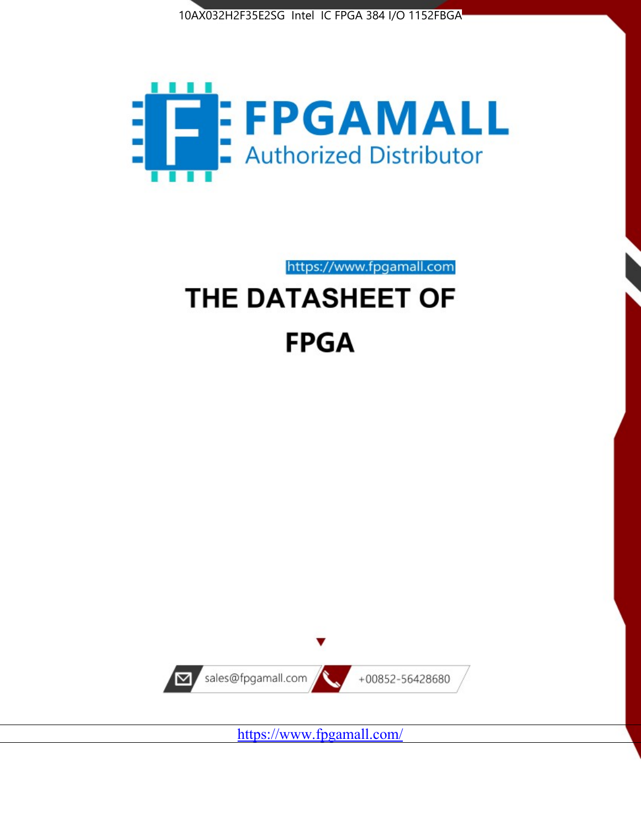



https://www.fpgamall.com THE DATASHEET OF

# **FPGA**



<https://www.fpgamall.com/>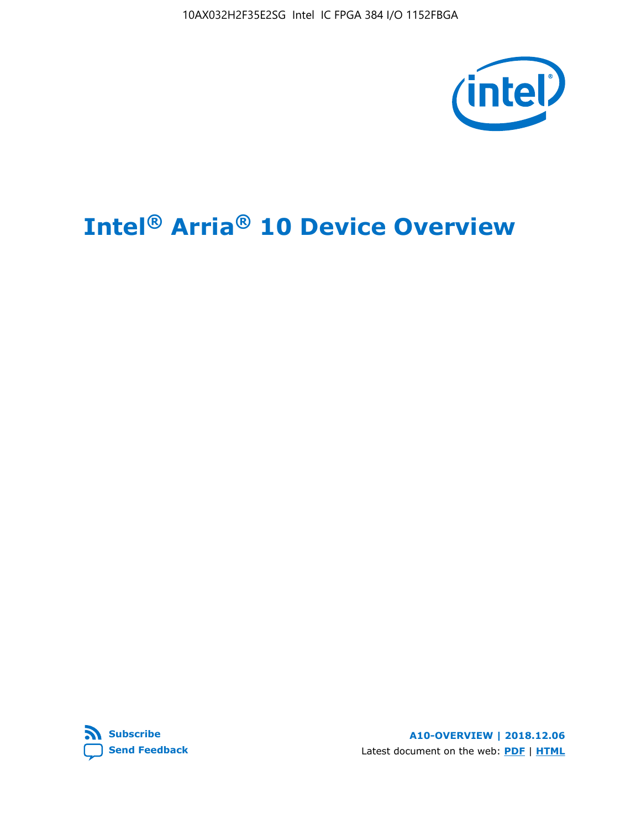10AX032H2F35E2SG Intel IC FPGA 384 I/O 1152FBGA



# **Intel® Arria® 10 Device Overview**



**A10-OVERVIEW | 2018.12.06** Latest document on the web: **[PDF](https://www.intel.com/content/dam/www/programmable/us/en/pdfs/literature/hb/arria-10/a10_overview.pdf)** | **[HTML](https://www.intel.com/content/www/us/en/programmable/documentation/sam1403480274650.html)**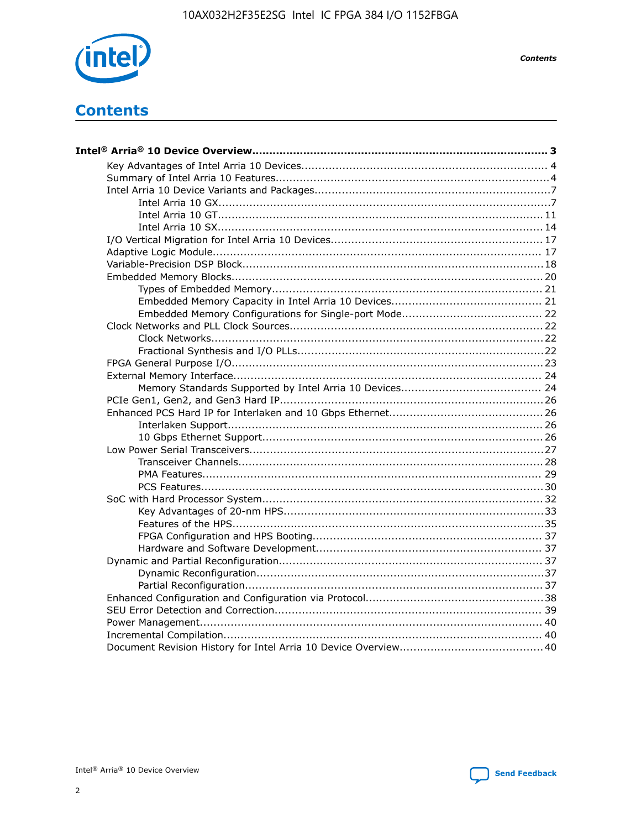

**Contents** 

# **Contents**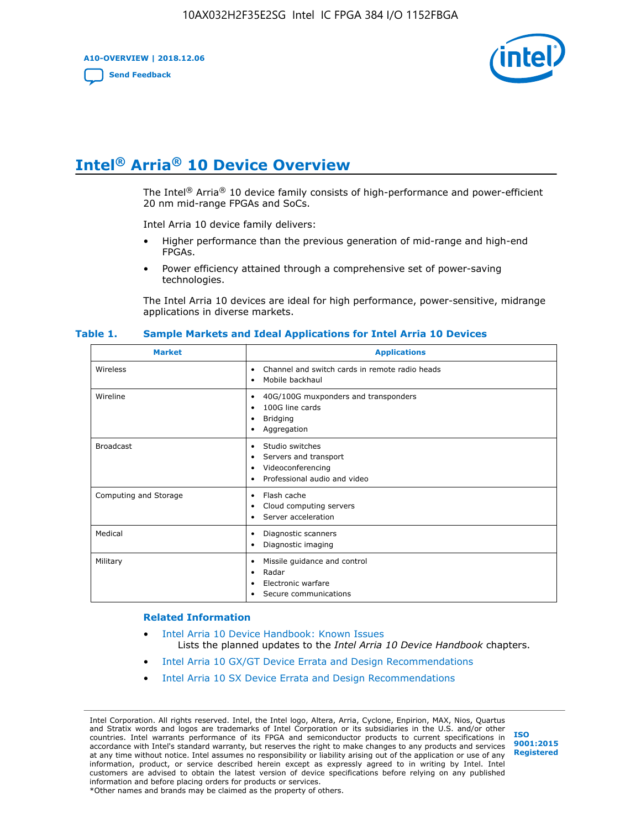**A10-OVERVIEW | 2018.12.06**

**[Send Feedback](mailto:FPGAtechdocfeedback@intel.com?subject=Feedback%20on%20Intel%20Arria%2010%20Device%20Overview%20(A10-OVERVIEW%202018.12.06)&body=We%20appreciate%20your%20feedback.%20In%20your%20comments,%20also%20specify%20the%20page%20number%20or%20paragraph.%20Thank%20you.)**



# **Intel® Arria® 10 Device Overview**

The Intel<sup>®</sup> Arria<sup>®</sup> 10 device family consists of high-performance and power-efficient 20 nm mid-range FPGAs and SoCs.

Intel Arria 10 device family delivers:

- Higher performance than the previous generation of mid-range and high-end FPGAs.
- Power efficiency attained through a comprehensive set of power-saving technologies.

The Intel Arria 10 devices are ideal for high performance, power-sensitive, midrange applications in diverse markets.

| <b>Market</b>         | <b>Applications</b>                                                                                               |
|-----------------------|-------------------------------------------------------------------------------------------------------------------|
| Wireless              | Channel and switch cards in remote radio heads<br>٠<br>Mobile backhaul<br>٠                                       |
| Wireline              | 40G/100G muxponders and transponders<br>٠<br>100G line cards<br>٠<br><b>Bridging</b><br>٠<br>Aggregation<br>٠     |
| <b>Broadcast</b>      | Studio switches<br>٠<br>Servers and transport<br>٠<br>Videoconferencing<br>٠<br>Professional audio and video<br>٠ |
| Computing and Storage | Flash cache<br>٠<br>Cloud computing servers<br>٠<br>Server acceleration<br>٠                                      |
| Medical               | Diagnostic scanners<br>٠<br>Diagnostic imaging<br>٠                                                               |
| Military              | Missile guidance and control<br>٠<br>Radar<br>٠<br>Electronic warfare<br>٠<br>Secure communications<br>٠          |

#### **Table 1. Sample Markets and Ideal Applications for Intel Arria 10 Devices**

#### **Related Information**

- [Intel Arria 10 Device Handbook: Known Issues](http://www.altera.com/support/kdb/solutions/rd07302013_646.html) Lists the planned updates to the *Intel Arria 10 Device Handbook* chapters.
- [Intel Arria 10 GX/GT Device Errata and Design Recommendations](https://www.intel.com/content/www/us/en/programmable/documentation/agz1493851706374.html#yqz1494433888646)
- [Intel Arria 10 SX Device Errata and Design Recommendations](https://www.intel.com/content/www/us/en/programmable/documentation/cru1462832385668.html#cru1462832558642)

Intel Corporation. All rights reserved. Intel, the Intel logo, Altera, Arria, Cyclone, Enpirion, MAX, Nios, Quartus and Stratix words and logos are trademarks of Intel Corporation or its subsidiaries in the U.S. and/or other countries. Intel warrants performance of its FPGA and semiconductor products to current specifications in accordance with Intel's standard warranty, but reserves the right to make changes to any products and services at any time without notice. Intel assumes no responsibility or liability arising out of the application or use of any information, product, or service described herein except as expressly agreed to in writing by Intel. Intel customers are advised to obtain the latest version of device specifications before relying on any published information and before placing orders for products or services. \*Other names and brands may be claimed as the property of others.

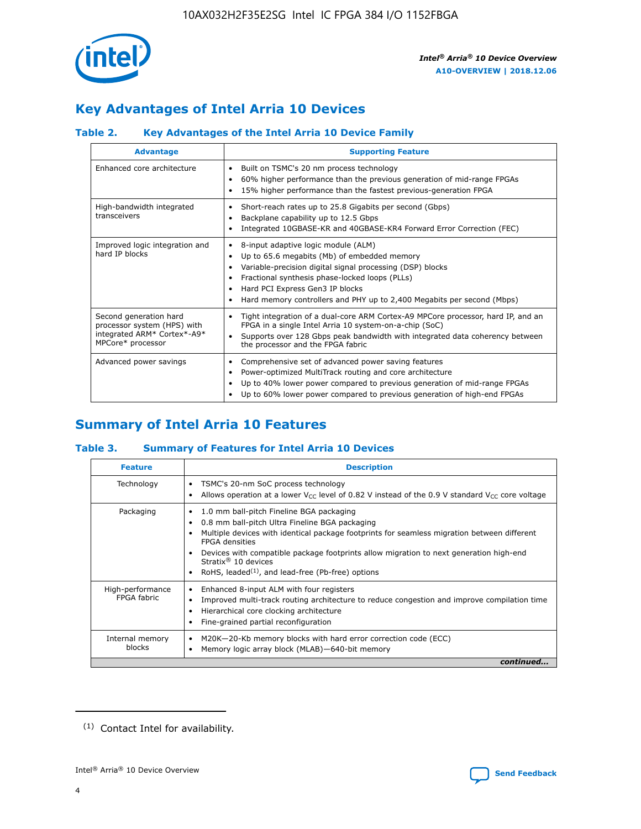

# **Key Advantages of Intel Arria 10 Devices**

## **Table 2. Key Advantages of the Intel Arria 10 Device Family**

| <b>Advantage</b>                                                                                          | <b>Supporting Feature</b>                                                                                                                                                                                                                                                                                                     |
|-----------------------------------------------------------------------------------------------------------|-------------------------------------------------------------------------------------------------------------------------------------------------------------------------------------------------------------------------------------------------------------------------------------------------------------------------------|
| Enhanced core architecture                                                                                | Built on TSMC's 20 nm process technology<br>٠<br>60% higher performance than the previous generation of mid-range FPGAs<br>٠<br>15% higher performance than the fastest previous-generation FPGA<br>٠                                                                                                                         |
| High-bandwidth integrated<br>transceivers                                                                 | Short-reach rates up to 25.8 Gigabits per second (Gbps)<br>٠<br>Backplane capability up to 12.5 Gbps<br>٠<br>Integrated 10GBASE-KR and 40GBASE-KR4 Forward Error Correction (FEC)<br>٠                                                                                                                                        |
| Improved logic integration and<br>hard IP blocks                                                          | 8-input adaptive logic module (ALM)<br>٠<br>Up to 65.6 megabits (Mb) of embedded memory<br>٠<br>Variable-precision digital signal processing (DSP) blocks<br>Fractional synthesis phase-locked loops (PLLs)<br>٠<br>Hard PCI Express Gen3 IP blocks<br>Hard memory controllers and PHY up to 2,400 Megabits per second (Mbps) |
| Second generation hard<br>processor system (HPS) with<br>integrated ARM* Cortex*-A9*<br>MPCore* processor | Tight integration of a dual-core ARM Cortex-A9 MPCore processor, hard IP, and an<br>٠<br>FPGA in a single Intel Arria 10 system-on-a-chip (SoC)<br>Supports over 128 Gbps peak bandwidth with integrated data coherency between<br>$\bullet$<br>the processor and the FPGA fabric                                             |
| Advanced power savings                                                                                    | Comprehensive set of advanced power saving features<br>٠<br>Power-optimized MultiTrack routing and core architecture<br>٠<br>Up to 40% lower power compared to previous generation of mid-range FPGAs<br>Up to 60% lower power compared to previous generation of high-end FPGAs<br>٠                                         |

# **Summary of Intel Arria 10 Features**

## **Table 3. Summary of Features for Intel Arria 10 Devices**

| <b>Feature</b>                  | <b>Description</b>                                                                                                                                                                                                                                                                                                                                                                                 |
|---------------------------------|----------------------------------------------------------------------------------------------------------------------------------------------------------------------------------------------------------------------------------------------------------------------------------------------------------------------------------------------------------------------------------------------------|
| Technology                      | TSMC's 20-nm SoC process technology<br>Allows operation at a lower $V_{\text{CC}}$ level of 0.82 V instead of the 0.9 V standard $V_{\text{CC}}$ core voltage                                                                                                                                                                                                                                      |
| Packaging                       | 1.0 mm ball-pitch Fineline BGA packaging<br>٠<br>0.8 mm ball-pitch Ultra Fineline BGA packaging<br>Multiple devices with identical package footprints for seamless migration between different<br><b>FPGA</b> densities<br>Devices with compatible package footprints allow migration to next generation high-end<br>Stratix $@10$ devices<br>RoHS, leaded $(1)$ , and lead-free (Pb-free) options |
| High-performance<br>FPGA fabric | Enhanced 8-input ALM with four registers<br>Improved multi-track routing architecture to reduce congestion and improve compilation time<br>Hierarchical core clocking architecture<br>Fine-grained partial reconfiguration                                                                                                                                                                         |
| Internal memory<br>blocks       | M20K-20-Kb memory blocks with hard error correction code (ECC)<br>Memory logic array block (MLAB)-640-bit memory                                                                                                                                                                                                                                                                                   |
|                                 | continued                                                                                                                                                                                                                                                                                                                                                                                          |



<sup>(1)</sup> Contact Intel for availability.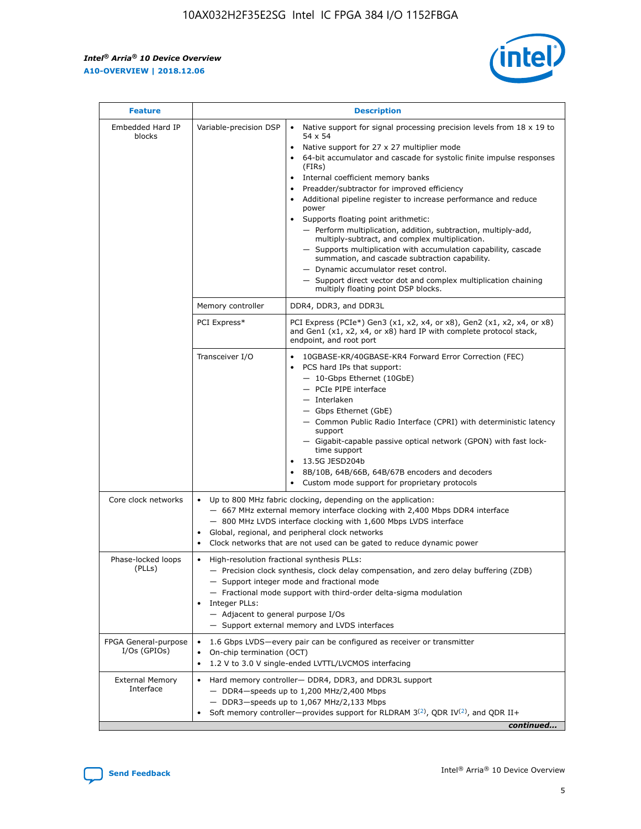$\mathbf{r}$ 



| <b>Feature</b>                         | <b>Description</b>                                                                                                                                                                                                                                                      |                                                                                                                                                                                                                                                                                                                                                                                                                                                                                                                                                                                                                                                                                                                                                                                                                                                                               |  |  |  |  |  |
|----------------------------------------|-------------------------------------------------------------------------------------------------------------------------------------------------------------------------------------------------------------------------------------------------------------------------|-------------------------------------------------------------------------------------------------------------------------------------------------------------------------------------------------------------------------------------------------------------------------------------------------------------------------------------------------------------------------------------------------------------------------------------------------------------------------------------------------------------------------------------------------------------------------------------------------------------------------------------------------------------------------------------------------------------------------------------------------------------------------------------------------------------------------------------------------------------------------------|--|--|--|--|--|
| Embedded Hard IP<br>blocks             | Variable-precision DSP                                                                                                                                                                                                                                                  | Native support for signal processing precision levels from $18 \times 19$ to<br>$\bullet$<br>54 x 54<br>Native support for 27 x 27 multiplier mode<br>$\bullet$<br>64-bit accumulator and cascade for systolic finite impulse responses<br>$\bullet$<br>(FIRs)<br>Internal coefficient memory banks<br>$\bullet$<br>Preadder/subtractor for improved efficiency<br>Additional pipeline register to increase performance and reduce<br>power<br>Supports floating point arithmetic:<br>- Perform multiplication, addition, subtraction, multiply-add,<br>multiply-subtract, and complex multiplication.<br>- Supports multiplication with accumulation capability, cascade<br>summation, and cascade subtraction capability.<br>- Dynamic accumulator reset control.<br>- Support direct vector dot and complex multiplication chaining<br>multiply floating point DSP blocks. |  |  |  |  |  |
|                                        | Memory controller                                                                                                                                                                                                                                                       | DDR4, DDR3, and DDR3L                                                                                                                                                                                                                                                                                                                                                                                                                                                                                                                                                                                                                                                                                                                                                                                                                                                         |  |  |  |  |  |
|                                        | PCI Express*                                                                                                                                                                                                                                                            | PCI Express (PCIe*) Gen3 (x1, x2, x4, or x8), Gen2 (x1, x2, x4, or x8)<br>and Gen1 (x1, x2, x4, or x8) hard IP with complete protocol stack,<br>endpoint, and root port                                                                                                                                                                                                                                                                                                                                                                                                                                                                                                                                                                                                                                                                                                       |  |  |  |  |  |
|                                        | Transceiver I/O                                                                                                                                                                                                                                                         | 10GBASE-KR/40GBASE-KR4 Forward Error Correction (FEC)<br>PCS hard IPs that support:<br>٠<br>- 10-Gbps Ethernet (10GbE)<br>- PCIe PIPE interface<br>- Interlaken<br>- Gbps Ethernet (GbE)<br>- Common Public Radio Interface (CPRI) with deterministic latency<br>support<br>- Gigabit-capable passive optical network (GPON) with fast lock-<br>time support<br>13.5G JESD204b<br>$\bullet$<br>8B/10B, 64B/66B, 64B/67B encoders and decoders<br>$\bullet$<br>Custom mode support for proprietary protocols                                                                                                                                                                                                                                                                                                                                                                   |  |  |  |  |  |
| Core clock networks                    | $\bullet$                                                                                                                                                                                                                                                               | Up to 800 MHz fabric clocking, depending on the application:<br>- 667 MHz external memory interface clocking with 2,400 Mbps DDR4 interface<br>- 800 MHz LVDS interface clocking with 1,600 Mbps LVDS interface<br>Global, regional, and peripheral clock networks<br>Clock networks that are not used can be gated to reduce dynamic power                                                                                                                                                                                                                                                                                                                                                                                                                                                                                                                                   |  |  |  |  |  |
| Phase-locked loops<br>(PLLs)           | High-resolution fractional synthesis PLLs:<br>٠<br>Integer PLLs:<br>- Adjacent to general purpose I/Os                                                                                                                                                                  | - Precision clock synthesis, clock delay compensation, and zero delay buffering (ZDB)<br>- Support integer mode and fractional mode<br>- Fractional mode support with third-order delta-sigma modulation<br>- Support external memory and LVDS interfaces                                                                                                                                                                                                                                                                                                                                                                                                                                                                                                                                                                                                                     |  |  |  |  |  |
| FPGA General-purpose<br>$I/Os$ (GPIOs) | 1.6 Gbps LVDS-every pair can be configured as receiver or transmitter<br>On-chip termination (OCT)<br>1.2 V to 3.0 V single-ended LVTTL/LVCMOS interfacing<br>٠                                                                                                         |                                                                                                                                                                                                                                                                                                                                                                                                                                                                                                                                                                                                                                                                                                                                                                                                                                                                               |  |  |  |  |  |
| <b>External Memory</b><br>Interface    | Hard memory controller- DDR4, DDR3, and DDR3L support<br>$\bullet$<br>- DDR4-speeds up to 1,200 MHz/2,400 Mbps<br>- DDR3-speeds up to 1,067 MHz/2,133 Mbps<br>Soft memory controller—provides support for RLDRAM $3^{(2)}$ , QDR IV $^{(2)}$ , and QDR II+<br>continued |                                                                                                                                                                                                                                                                                                                                                                                                                                                                                                                                                                                                                                                                                                                                                                                                                                                                               |  |  |  |  |  |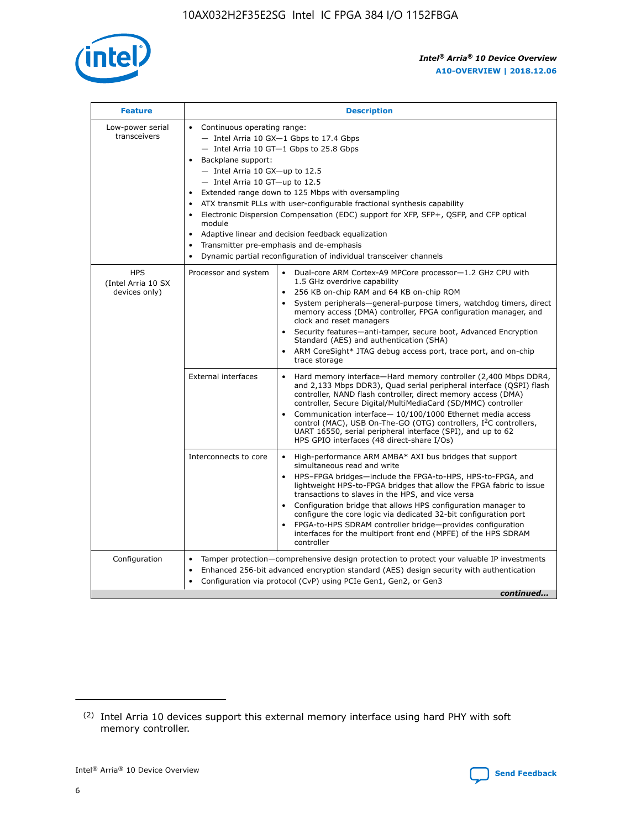

| <b>Feature</b>                                    | <b>Description</b>                                                                                                                                                                                                                                                                                                                                                                                                                                                                                                                                                                                                                         |  |  |  |  |  |  |  |
|---------------------------------------------------|--------------------------------------------------------------------------------------------------------------------------------------------------------------------------------------------------------------------------------------------------------------------------------------------------------------------------------------------------------------------------------------------------------------------------------------------------------------------------------------------------------------------------------------------------------------------------------------------------------------------------------------------|--|--|--|--|--|--|--|
| Low-power serial<br>transceivers                  | • Continuous operating range:<br>- Intel Arria 10 GX-1 Gbps to 17.4 Gbps<br>- Intel Arria 10 GT-1 Gbps to 25.8 Gbps<br>Backplane support:<br>$-$ Intel Arria 10 GX-up to 12.5<br>- Intel Arria 10 GT-up to 12.5<br>Extended range down to 125 Mbps with oversampling<br>ATX transmit PLLs with user-configurable fractional synthesis capability<br>Electronic Dispersion Compensation (EDC) support for XFP, SFP+, QSFP, and CFP optical<br>module<br>• Adaptive linear and decision feedback equalization<br>Transmitter pre-emphasis and de-emphasis<br>$\bullet$<br>Dynamic partial reconfiguration of individual transceiver channels |  |  |  |  |  |  |  |
| <b>HPS</b><br>(Intel Arria 10 SX<br>devices only) | Dual-core ARM Cortex-A9 MPCore processor-1.2 GHz CPU with<br>Processor and system<br>$\bullet$<br>1.5 GHz overdrive capability<br>256 KB on-chip RAM and 64 KB on-chip ROM<br>System peripherals-general-purpose timers, watchdog timers, direct<br>memory access (DMA) controller, FPGA configuration manager, and<br>clock and reset managers<br>Security features-anti-tamper, secure boot, Advanced Encryption<br>$\bullet$<br>Standard (AES) and authentication (SHA)<br>ARM CoreSight* JTAG debug access port, trace port, and on-chip<br>trace storage                                                                              |  |  |  |  |  |  |  |
|                                                   | <b>External interfaces</b><br>Hard memory interface-Hard memory controller (2,400 Mbps DDR4,<br>$\bullet$<br>and 2,133 Mbps DDR3), Quad serial peripheral interface (QSPI) flash<br>controller, NAND flash controller, direct memory access (DMA)<br>controller, Secure Digital/MultiMediaCard (SD/MMC) controller<br>Communication interface-10/100/1000 Ethernet media access<br>$\bullet$<br>control (MAC), USB On-The-GO (OTG) controllers, I <sup>2</sup> C controllers,<br>UART 16550, serial peripheral interface (SPI), and up to 62<br>HPS GPIO interfaces (48 direct-share I/Os)                                                 |  |  |  |  |  |  |  |
|                                                   | High-performance ARM AMBA* AXI bus bridges that support<br>Interconnects to core<br>$\bullet$<br>simultaneous read and write<br>HPS-FPGA bridges-include the FPGA-to-HPS, HPS-to-FPGA, and<br>$\bullet$<br>lightweight HPS-to-FPGA bridges that allow the FPGA fabric to issue<br>transactions to slaves in the HPS, and vice versa<br>Configuration bridge that allows HPS configuration manager to<br>configure the core logic via dedicated 32-bit configuration port<br>FPGA-to-HPS SDRAM controller bridge-provides configuration<br>interfaces for the multiport front end (MPFE) of the HPS SDRAM<br>controller                     |  |  |  |  |  |  |  |
| Configuration                                     | Tamper protection—comprehensive design protection to protect your valuable IP investments<br>Enhanced 256-bit advanced encryption standard (AES) design security with authentication<br>٠<br>Configuration via protocol (CvP) using PCIe Gen1, Gen2, or Gen3<br>continued                                                                                                                                                                                                                                                                                                                                                                  |  |  |  |  |  |  |  |

<sup>(2)</sup> Intel Arria 10 devices support this external memory interface using hard PHY with soft memory controller.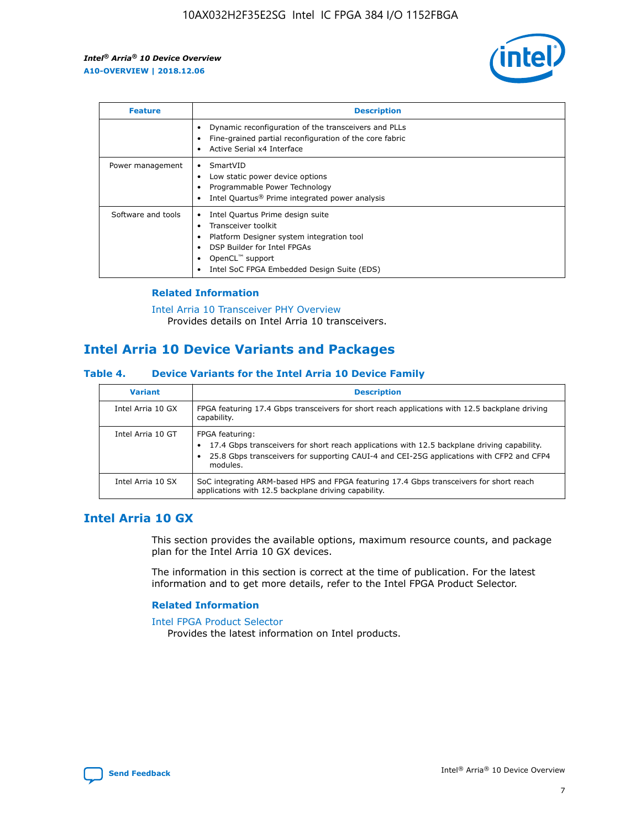

| <b>Feature</b>     | <b>Description</b>                                                                                                                                                                                               |
|--------------------|------------------------------------------------------------------------------------------------------------------------------------------------------------------------------------------------------------------|
|                    | Dynamic reconfiguration of the transceivers and PLLs<br>Fine-grained partial reconfiguration of the core fabric<br>Active Serial x4 Interface<br>$\bullet$                                                       |
| Power management   | SmartVID<br>Low static power device options<br>Programmable Power Technology<br>Intel Quartus <sup>®</sup> Prime integrated power analysis                                                                       |
| Software and tools | Intel Quartus Prime design suite<br>Transceiver toolkit<br>Platform Designer system integration tool<br>DSP Builder for Intel FPGAs<br>OpenCL <sup>™</sup> support<br>Intel SoC FPGA Embedded Design Suite (EDS) |

## **Related Information**

[Intel Arria 10 Transceiver PHY Overview](https://www.intel.com/content/www/us/en/programmable/documentation/nik1398707230472.html#nik1398706768037) Provides details on Intel Arria 10 transceivers.

## **Intel Arria 10 Device Variants and Packages**

#### **Table 4. Device Variants for the Intel Arria 10 Device Family**

| <b>Variant</b>    | <b>Description</b>                                                                                                                                                                                                     |
|-------------------|------------------------------------------------------------------------------------------------------------------------------------------------------------------------------------------------------------------------|
| Intel Arria 10 GX | FPGA featuring 17.4 Gbps transceivers for short reach applications with 12.5 backplane driving<br>capability.                                                                                                          |
| Intel Arria 10 GT | FPGA featuring:<br>17.4 Gbps transceivers for short reach applications with 12.5 backplane driving capability.<br>25.8 Gbps transceivers for supporting CAUI-4 and CEI-25G applications with CFP2 and CFP4<br>modules. |
| Intel Arria 10 SX | SoC integrating ARM-based HPS and FPGA featuring 17.4 Gbps transceivers for short reach<br>applications with 12.5 backplane driving capability.                                                                        |

## **Intel Arria 10 GX**

This section provides the available options, maximum resource counts, and package plan for the Intel Arria 10 GX devices.

The information in this section is correct at the time of publication. For the latest information and to get more details, refer to the Intel FPGA Product Selector.

#### **Related Information**

#### [Intel FPGA Product Selector](http://www.altera.com/products/selector/psg-selector.html) Provides the latest information on Intel products.

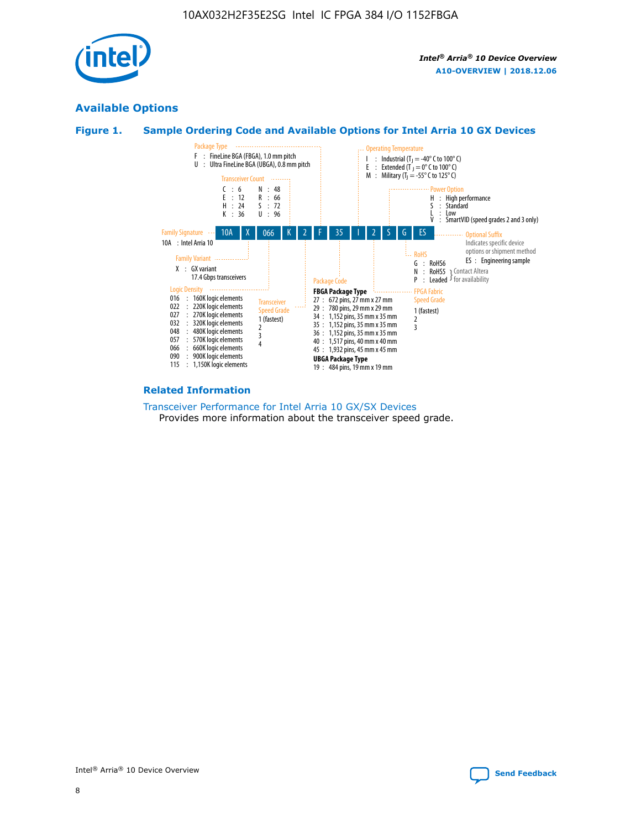

## **Available Options**





#### **Related Information**

[Transceiver Performance for Intel Arria 10 GX/SX Devices](https://www.intel.com/content/www/us/en/programmable/documentation/mcn1413182292568.html#mcn1413213965502) Provides more information about the transceiver speed grade.

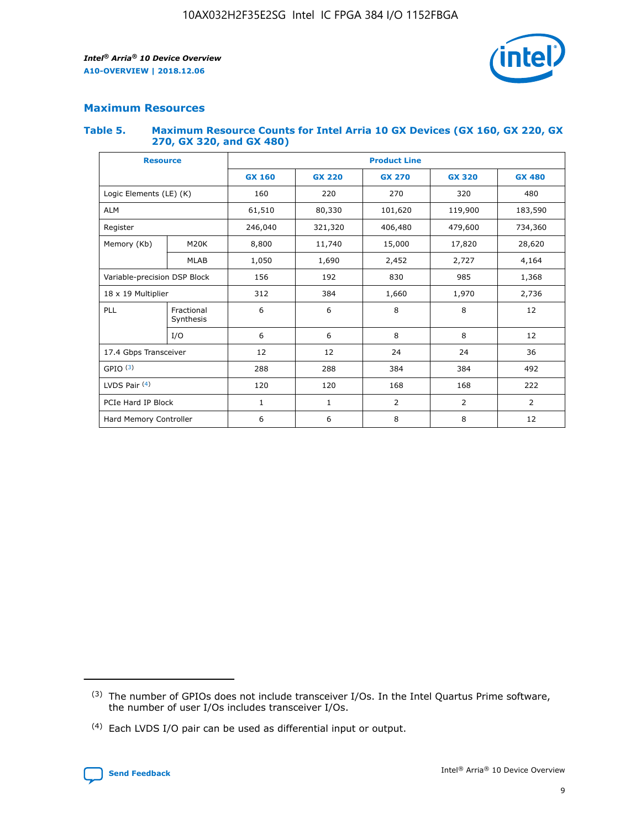

## **Maximum Resources**

#### **Table 5. Maximum Resource Counts for Intel Arria 10 GX Devices (GX 160, GX 220, GX 270, GX 320, and GX 480)**

| <b>Resource</b>              |                         | <b>Product Line</b> |                                |                |                |                |  |  |  |
|------------------------------|-------------------------|---------------------|--------------------------------|----------------|----------------|----------------|--|--|--|
|                              |                         | <b>GX 160</b>       | <b>GX 220</b><br><b>GX 270</b> |                | <b>GX 320</b>  | <b>GX 480</b>  |  |  |  |
| Logic Elements (LE) (K)      |                         | 160                 | 320<br>220<br>270              |                |                | 480            |  |  |  |
| <b>ALM</b>                   |                         | 61,510              | 80,330                         | 101,620        | 119,900        | 183,590        |  |  |  |
| Register                     |                         | 246,040             | 479,600<br>321,320<br>406,480  |                |                | 734,360        |  |  |  |
| Memory (Kb)                  | M <sub>20</sub> K       | 8,800               | 11,740                         | 15,000         | 17,820         | 28,620         |  |  |  |
|                              | <b>MLAB</b>             | 1,050               | 1,690                          | 2,452          | 2,727          | 4,164          |  |  |  |
| Variable-precision DSP Block |                         | 156                 | 192                            | 830            | 985            | 1,368          |  |  |  |
| 18 x 19 Multiplier           |                         | 312                 | 384                            | 1,970<br>1,660 |                | 2,736          |  |  |  |
| PLL                          | Fractional<br>Synthesis | 6                   | 6                              | 8              | 8              | 12             |  |  |  |
|                              | I/O                     | 6                   | 6                              | 8              | 8              | 12             |  |  |  |
| 17.4 Gbps Transceiver        |                         | 12                  | 12                             | 24             | 24             | 36             |  |  |  |
| GPIO <sup>(3)</sup>          |                         | 288                 | 288                            | 384            | 384            |                |  |  |  |
| LVDS Pair $(4)$              |                         | 120                 | 120                            | 168            | 168            | 222            |  |  |  |
| PCIe Hard IP Block           |                         | $\mathbf{1}$        | 1                              | $\overline{2}$ | $\overline{2}$ | $\overline{2}$ |  |  |  |
| Hard Memory Controller       |                         | 6                   | 6                              | 8              | 8              |                |  |  |  |

<sup>(4)</sup> Each LVDS I/O pair can be used as differential input or output.



<sup>(3)</sup> The number of GPIOs does not include transceiver I/Os. In the Intel Quartus Prime software, the number of user I/Os includes transceiver I/Os.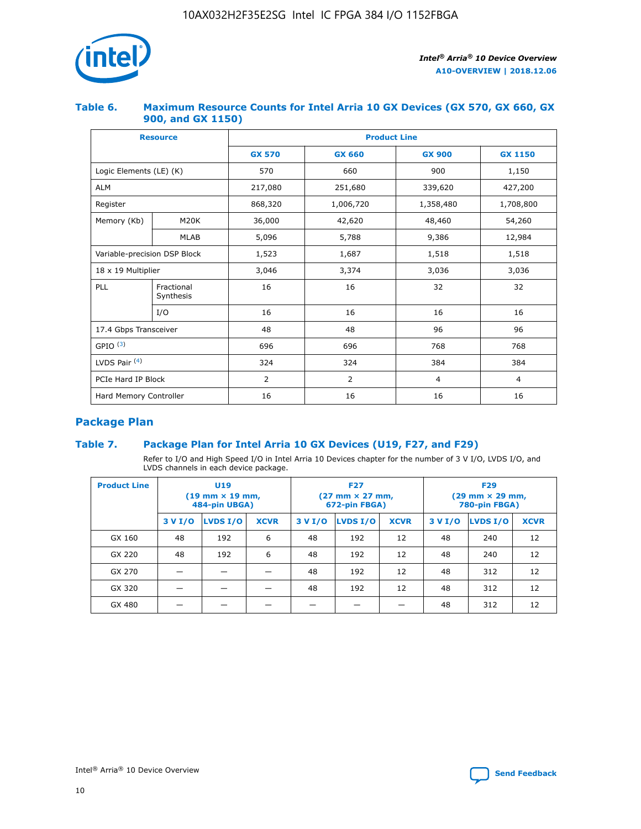

## **Table 6. Maximum Resource Counts for Intel Arria 10 GX Devices (GX 570, GX 660, GX 900, and GX 1150)**

|                              | <b>Resource</b>         | <b>Product Line</b> |                |                |                |  |  |  |
|------------------------------|-------------------------|---------------------|----------------|----------------|----------------|--|--|--|
|                              |                         | <b>GX 570</b>       | <b>GX 660</b>  | <b>GX 900</b>  | <b>GX 1150</b> |  |  |  |
| Logic Elements (LE) (K)      |                         | 570                 | 660            | 900            | 1,150          |  |  |  |
| <b>ALM</b>                   |                         | 217,080             | 251,680        | 339,620        | 427,200        |  |  |  |
| Register                     |                         | 868,320             | 1,006,720      | 1,358,480      | 1,708,800      |  |  |  |
| Memory (Kb)                  | <b>M20K</b>             | 36,000              | 42,620         | 48,460         | 54,260         |  |  |  |
|                              | <b>MLAB</b>             | 5,096               | 5,788<br>9,386 |                | 12,984         |  |  |  |
| Variable-precision DSP Block |                         | 1,523               | 1,687          | 1,518          | 1,518          |  |  |  |
| $18 \times 19$ Multiplier    |                         | 3,046               | 3,374          | 3,036          | 3,036          |  |  |  |
| PLL                          | Fractional<br>Synthesis | 16                  | 16             | 32             | 32             |  |  |  |
|                              | I/O                     | 16                  | 16             | 16             | 16             |  |  |  |
| 17.4 Gbps Transceiver        |                         | 48                  | 96<br>48       |                | 96             |  |  |  |
| GPIO <sup>(3)</sup>          |                         | 696                 | 696            | 768            | 768            |  |  |  |
| LVDS Pair $(4)$              |                         | 324                 | 324<br>384     |                | 384            |  |  |  |
| PCIe Hard IP Block           |                         | 2                   | 2              | $\overline{4}$ | $\overline{4}$ |  |  |  |
| Hard Memory Controller       |                         | 16                  | 16             | 16             | 16             |  |  |  |

## **Package Plan**

## **Table 7. Package Plan for Intel Arria 10 GX Devices (U19, F27, and F29)**

Refer to I/O and High Speed I/O in Intel Arria 10 Devices chapter for the number of 3 V I/O, LVDS I/O, and LVDS channels in each device package.

| <b>Product Line</b> | U <sub>19</sub><br>$(19 \text{ mm} \times 19 \text{ mm})$<br>484-pin UBGA) |          |             | <b>F27</b><br>(27 mm × 27 mm,<br>672-pin FBGA) |          |             | <b>F29</b><br>(29 mm × 29 mm,<br>780-pin FBGA) |          |             |  |
|---------------------|----------------------------------------------------------------------------|----------|-------------|------------------------------------------------|----------|-------------|------------------------------------------------|----------|-------------|--|
|                     | 3 V I/O                                                                    | LVDS I/O | <b>XCVR</b> | 3 V I/O                                        | LVDS I/O | <b>XCVR</b> | 3 V I/O                                        | LVDS I/O | <b>XCVR</b> |  |
| GX 160              | 48                                                                         | 192      | 6           | 48                                             | 192      | 12          | 48                                             | 240      | 12          |  |
| GX 220              | 48                                                                         | 192      | 6           | 48                                             | 192      | 12          | 48                                             | 240      | 12          |  |
| GX 270              |                                                                            |          |             | 48                                             | 192      | 12          | 48                                             | 312      | 12          |  |
| GX 320              |                                                                            |          |             | 48                                             | 192      | 12          | 48                                             | 312      | 12          |  |
| GX 480              |                                                                            |          |             |                                                |          |             | 48                                             | 312      | 12          |  |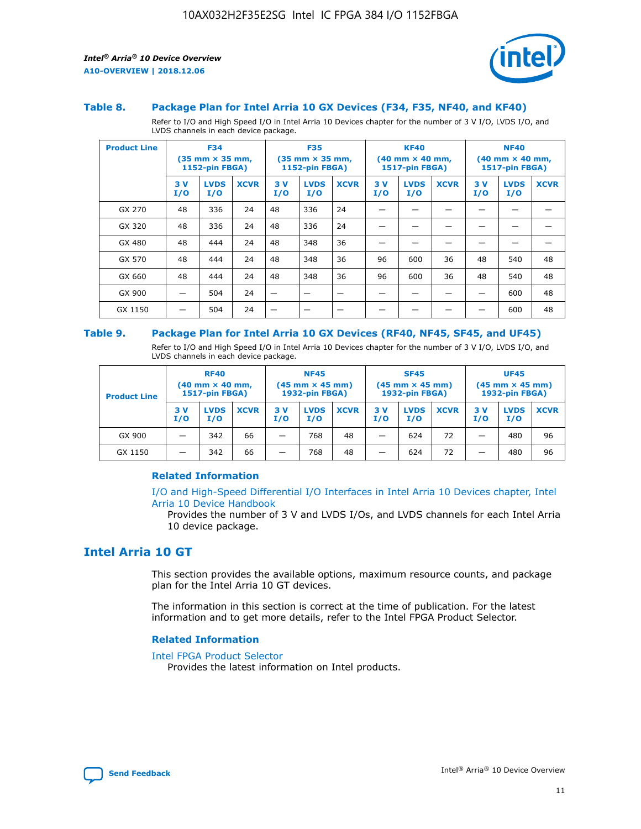

#### **Table 8. Package Plan for Intel Arria 10 GX Devices (F34, F35, NF40, and KF40)**

Refer to I/O and High Speed I/O in Intel Arria 10 Devices chapter for the number of 3 V I/O, LVDS I/O, and LVDS channels in each device package.

| <b>Product Line</b> | <b>F34</b><br>$(35 \text{ mm} \times 35 \text{ mm})$<br>1152-pin FBGA) |                    | <b>F35</b><br>$(35 \text{ mm} \times 35 \text{ mm})$<br><b>1152-pin FBGA)</b> |           | <b>KF40</b><br>$(40 \text{ mm} \times 40 \text{ mm})$<br>1517-pin FBGA) |             |            | <b>NF40</b><br>$(40 \text{ mm} \times 40 \text{ mm})$<br><b>1517-pin FBGA)</b> |             |            |                    |             |
|---------------------|------------------------------------------------------------------------|--------------------|-------------------------------------------------------------------------------|-----------|-------------------------------------------------------------------------|-------------|------------|--------------------------------------------------------------------------------|-------------|------------|--------------------|-------------|
|                     | 3V<br>I/O                                                              | <b>LVDS</b><br>I/O | <b>XCVR</b>                                                                   | 3V<br>I/O | <b>LVDS</b><br>I/O                                                      | <b>XCVR</b> | 3 V<br>I/O | <b>LVDS</b><br>I/O                                                             | <b>XCVR</b> | 3 V<br>I/O | <b>LVDS</b><br>I/O | <b>XCVR</b> |
| GX 270              | 48                                                                     | 336                | 24                                                                            | 48        | 336                                                                     | 24          |            |                                                                                |             |            |                    |             |
| GX 320              | 48                                                                     | 336                | 24                                                                            | 48        | 336                                                                     | 24          |            |                                                                                |             |            |                    |             |
| GX 480              | 48                                                                     | 444                | 24                                                                            | 48        | 348                                                                     | 36          |            |                                                                                |             |            |                    |             |
| GX 570              | 48                                                                     | 444                | 24                                                                            | 48        | 348                                                                     | 36          | 96         | 600                                                                            | 36          | 48         | 540                | 48          |
| GX 660              | 48                                                                     | 444                | 24                                                                            | 48        | 348                                                                     | 36          | 96         | 600                                                                            | 36          | 48         | 540                | 48          |
| GX 900              |                                                                        | 504                | 24                                                                            | -         |                                                                         |             |            |                                                                                |             |            | 600                | 48          |
| GX 1150             |                                                                        | 504                | 24                                                                            |           |                                                                         |             |            |                                                                                |             |            | 600                | 48          |

#### **Table 9. Package Plan for Intel Arria 10 GX Devices (RF40, NF45, SF45, and UF45)**

Refer to I/O and High Speed I/O in Intel Arria 10 Devices chapter for the number of 3 V I/O, LVDS I/O, and LVDS channels in each device package.

| <b>Product Line</b> | <b>RF40</b><br>$(40$ mm $\times$ 40 mm,<br>1517-pin FBGA) |                    |             | <b>NF45</b><br>$(45 \text{ mm} \times 45 \text{ mm})$<br><b>1932-pin FBGA)</b> |                    |             | <b>SF45</b><br>$(45 \text{ mm} \times 45 \text{ mm})$<br><b>1932-pin FBGA)</b> |                    |             | <b>UF45</b><br>$(45 \text{ mm} \times 45 \text{ mm})$<br><b>1932-pin FBGA)</b> |                    |             |
|---------------------|-----------------------------------------------------------|--------------------|-------------|--------------------------------------------------------------------------------|--------------------|-------------|--------------------------------------------------------------------------------|--------------------|-------------|--------------------------------------------------------------------------------|--------------------|-------------|
|                     | 3V<br>I/O                                                 | <b>LVDS</b><br>I/O | <b>XCVR</b> | 3 V<br>I/O                                                                     | <b>LVDS</b><br>I/O | <b>XCVR</b> | 3 V<br>I/O                                                                     | <b>LVDS</b><br>I/O | <b>XCVR</b> | 3V<br>I/O                                                                      | <b>LVDS</b><br>I/O | <b>XCVR</b> |
| GX 900              |                                                           | 342                | 66          | _                                                                              | 768                | 48          |                                                                                | 624                | 72          |                                                                                | 480                | 96          |
| GX 1150             |                                                           | 342                | 66          | _                                                                              | 768                | 48          |                                                                                | 624                | 72          |                                                                                | 480                | 96          |

## **Related Information**

[I/O and High-Speed Differential I/O Interfaces in Intel Arria 10 Devices chapter, Intel](https://www.intel.com/content/www/us/en/programmable/documentation/sam1403482614086.html#sam1403482030321) [Arria 10 Device Handbook](https://www.intel.com/content/www/us/en/programmable/documentation/sam1403482614086.html#sam1403482030321)

Provides the number of 3 V and LVDS I/Os, and LVDS channels for each Intel Arria 10 device package.

## **Intel Arria 10 GT**

This section provides the available options, maximum resource counts, and package plan for the Intel Arria 10 GT devices.

The information in this section is correct at the time of publication. For the latest information and to get more details, refer to the Intel FPGA Product Selector.

#### **Related Information**

#### [Intel FPGA Product Selector](http://www.altera.com/products/selector/psg-selector.html)

Provides the latest information on Intel products.

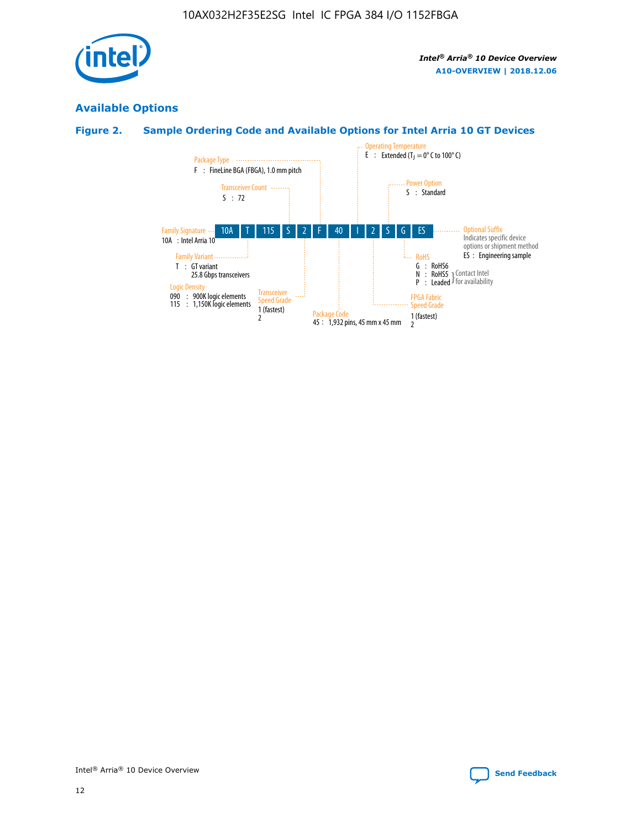

## **Available Options**

## **Figure 2. Sample Ordering Code and Available Options for Intel Arria 10 GT Devices**

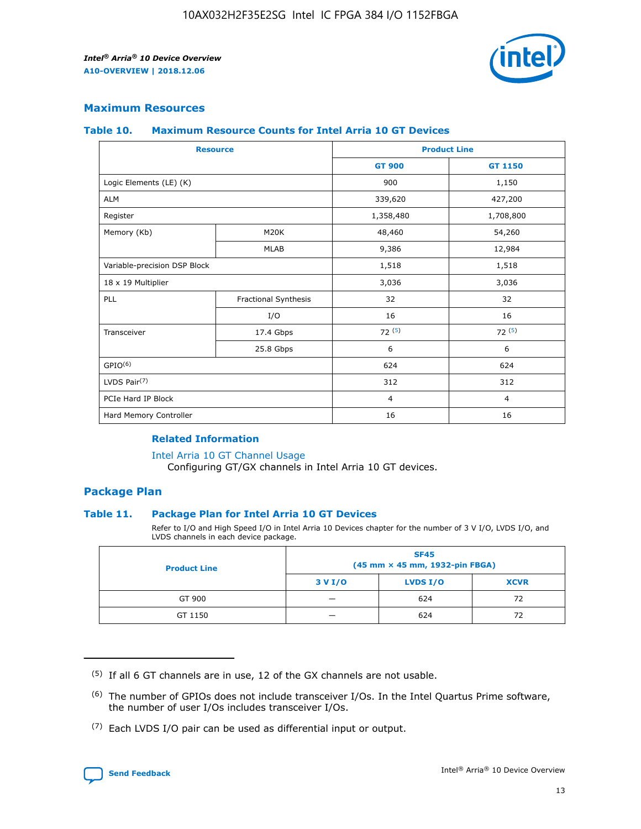

## **Maximum Resources**

#### **Table 10. Maximum Resource Counts for Intel Arria 10 GT Devices**

| <b>Resource</b>              |                      | <b>Product Line</b> |                |  |
|------------------------------|----------------------|---------------------|----------------|--|
|                              |                      | <b>GT 900</b>       | <b>GT 1150</b> |  |
| Logic Elements (LE) (K)      |                      | 900                 | 1,150          |  |
| <b>ALM</b>                   |                      | 339,620             | 427,200        |  |
| Register                     |                      | 1,358,480           | 1,708,800      |  |
| Memory (Kb)                  | M20K                 | 48,460              | 54,260         |  |
|                              | <b>MLAB</b>          | 9,386               | 12,984         |  |
| Variable-precision DSP Block |                      | 1,518               | 1,518          |  |
| 18 x 19 Multiplier           |                      | 3,036               | 3,036          |  |
| PLL                          | Fractional Synthesis | 32                  | 32             |  |
|                              | I/O                  | 16                  | 16             |  |
| Transceiver                  | 17.4 Gbps            | 72(5)               | 72(5)          |  |
|                              | 25.8 Gbps            | 6                   | 6              |  |
| GPIO <sup>(6)</sup>          |                      | 624                 | 624            |  |
| LVDS Pair $(7)$              |                      | 312                 | 312            |  |
| PCIe Hard IP Block           |                      | $\overline{4}$      | $\overline{4}$ |  |
| Hard Memory Controller       |                      | 16                  | 16             |  |

## **Related Information**

#### [Intel Arria 10 GT Channel Usage](https://www.intel.com/content/www/us/en/programmable/documentation/nik1398707230472.html#nik1398707008178)

Configuring GT/GX channels in Intel Arria 10 GT devices.

## **Package Plan**

## **Table 11. Package Plan for Intel Arria 10 GT Devices**

Refer to I/O and High Speed I/O in Intel Arria 10 Devices chapter for the number of 3 V I/O, LVDS I/O, and LVDS channels in each device package.

| <b>Product Line</b> | <b>SF45</b><br>(45 mm × 45 mm, 1932-pin FBGA) |                 |             |  |  |  |
|---------------------|-----------------------------------------------|-----------------|-------------|--|--|--|
|                     | 3 V I/O                                       | <b>LVDS I/O</b> | <b>XCVR</b> |  |  |  |
| GT 900              |                                               | 624             | 72          |  |  |  |
| GT 1150             |                                               | 624             |             |  |  |  |

<sup>(7)</sup> Each LVDS I/O pair can be used as differential input or output.



 $(5)$  If all 6 GT channels are in use, 12 of the GX channels are not usable.

<sup>(6)</sup> The number of GPIOs does not include transceiver I/Os. In the Intel Quartus Prime software, the number of user I/Os includes transceiver I/Os.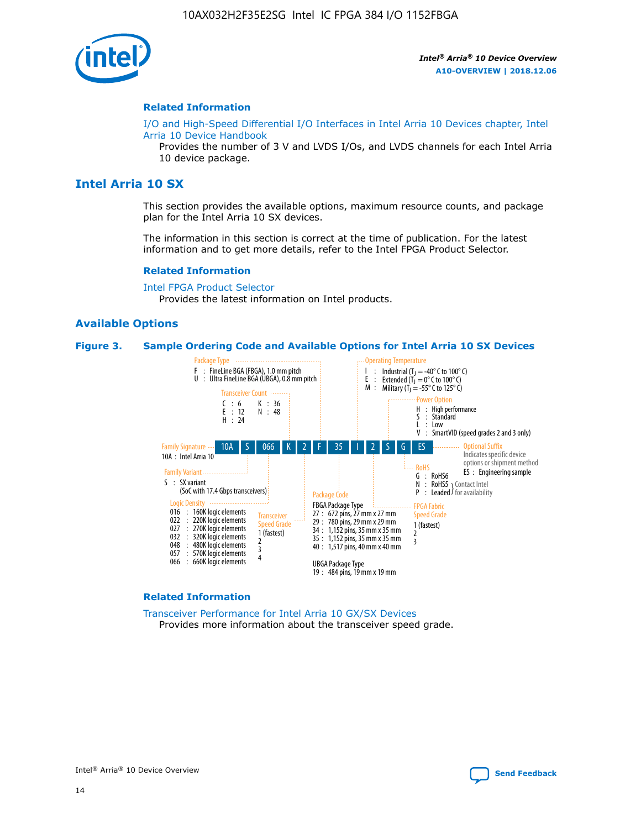

#### **Related Information**

[I/O and High-Speed Differential I/O Interfaces in Intel Arria 10 Devices chapter, Intel](https://www.intel.com/content/www/us/en/programmable/documentation/sam1403482614086.html#sam1403482030321) [Arria 10 Device Handbook](https://www.intel.com/content/www/us/en/programmable/documentation/sam1403482614086.html#sam1403482030321)

Provides the number of 3 V and LVDS I/Os, and LVDS channels for each Intel Arria 10 device package.

## **Intel Arria 10 SX**

This section provides the available options, maximum resource counts, and package plan for the Intel Arria 10 SX devices.

The information in this section is correct at the time of publication. For the latest information and to get more details, refer to the Intel FPGA Product Selector.

#### **Related Information**

[Intel FPGA Product Selector](http://www.altera.com/products/selector/psg-selector.html) Provides the latest information on Intel products.

## **Available Options**

#### **Figure 3. Sample Ordering Code and Available Options for Intel Arria 10 SX Devices**



#### **Related Information**

[Transceiver Performance for Intel Arria 10 GX/SX Devices](https://www.intel.com/content/www/us/en/programmable/documentation/mcn1413182292568.html#mcn1413213965502) Provides more information about the transceiver speed grade.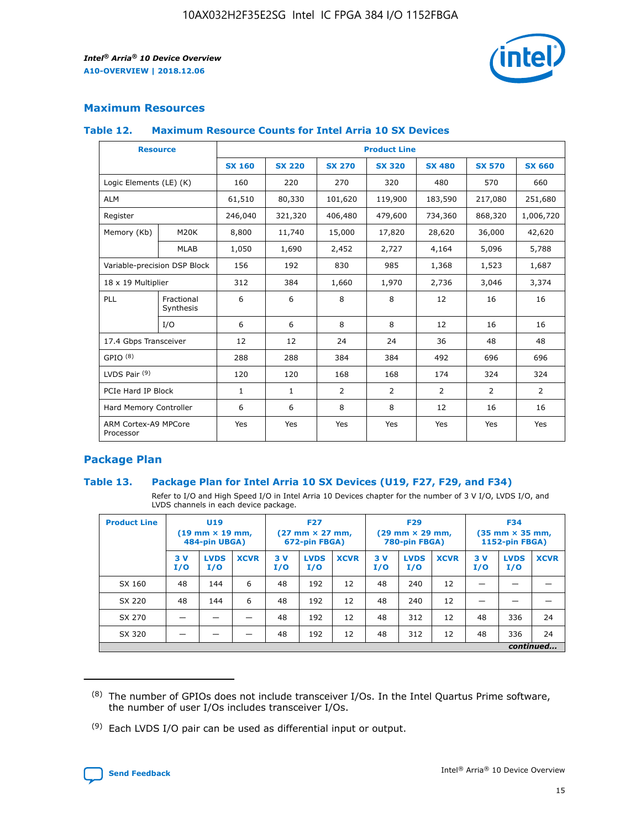

## **Maximum Resources**

## **Table 12. Maximum Resource Counts for Intel Arria 10 SX Devices**

|                                   | <b>Resource</b>         | <b>Product Line</b> |               |                |                |                |                |                |  |  |  |
|-----------------------------------|-------------------------|---------------------|---------------|----------------|----------------|----------------|----------------|----------------|--|--|--|
|                                   |                         | <b>SX 160</b>       | <b>SX 220</b> | <b>SX 270</b>  | <b>SX 320</b>  | <b>SX 480</b>  | <b>SX 570</b>  | <b>SX 660</b>  |  |  |  |
| Logic Elements (LE) (K)           |                         | 160                 | 220           | 270            | 320            | 480            | 570            | 660            |  |  |  |
| <b>ALM</b>                        |                         | 61,510              | 80,330        | 101,620        | 119,900        | 183,590        | 217,080        | 251,680        |  |  |  |
| Register                          |                         | 246,040             | 321,320       | 406,480        | 479,600        | 734,360        | 868,320        | 1,006,720      |  |  |  |
| Memory (Kb)                       | M <sub>20</sub> K       | 8,800               | 11,740        | 15,000         | 17,820         | 28,620         | 36,000         | 42,620         |  |  |  |
|                                   | <b>MLAB</b>             | 1,050               | 1,690         | 2,452          | 2,727          | 4,164          | 5,096          | 5,788          |  |  |  |
| Variable-precision DSP Block      |                         | 156                 | 192           | 830            | 985            | 1,368          | 1,523          | 1,687          |  |  |  |
| 18 x 19 Multiplier                |                         | 312                 | 384           | 1,660          | 1,970          | 2,736          | 3,046          | 3,374          |  |  |  |
| <b>PLL</b>                        | Fractional<br>Synthesis | 6                   | 6             | 8              | 8              | 12             | 16             | 16             |  |  |  |
|                                   | I/O                     | 6                   | 6             | 8              | 8              | 12             | 16             | 16             |  |  |  |
| 17.4 Gbps Transceiver             |                         | 12                  | 12            | 24             | 24             | 36             | 48             | 48             |  |  |  |
| GPIO <sup>(8)</sup>               |                         | 288                 | 288           | 384            | 384            | 492            | 696            | 696            |  |  |  |
| LVDS Pair $(9)$                   |                         | 120                 | 120           | 168            | 168            | 174            | 324            | 324            |  |  |  |
| PCIe Hard IP Block                |                         | $\mathbf{1}$        | $\mathbf{1}$  | $\overline{2}$ | $\overline{2}$ | $\overline{2}$ | $\overline{2}$ | $\overline{2}$ |  |  |  |
| Hard Memory Controller            |                         | 6                   | 6             | 8              | 8              | 12             | 16             | 16             |  |  |  |
| ARM Cortex-A9 MPCore<br>Processor |                         | Yes                 | Yes           | Yes            | Yes            | Yes            | Yes            | Yes            |  |  |  |

## **Package Plan**

## **Table 13. Package Plan for Intel Arria 10 SX Devices (U19, F27, F29, and F34)**

Refer to I/O and High Speed I/O in Intel Arria 10 Devices chapter for the number of 3 V I/O, LVDS I/O, and LVDS channels in each device package.

| <b>Product Line</b> | <b>U19</b><br>$(19 \text{ mm} \times 19 \text{ mm})$<br>484-pin UBGA) |                    |             | <b>F27</b><br>$(27 \text{ mm} \times 27 \text{ mm})$<br>672-pin FBGA) |                    | <b>F29</b><br>$(29$ mm $\times$ 29 mm,<br>780-pin FBGA) |            |                    | <b>F34</b><br>$(35 \text{ mm} \times 35 \text{ mm})$<br>1152-pin FBGA) |           |                    |             |
|---------------------|-----------------------------------------------------------------------|--------------------|-------------|-----------------------------------------------------------------------|--------------------|---------------------------------------------------------|------------|--------------------|------------------------------------------------------------------------|-----------|--------------------|-------------|
|                     | 3V<br>I/O                                                             | <b>LVDS</b><br>I/O | <b>XCVR</b> | 3V<br>I/O                                                             | <b>LVDS</b><br>I/O | <b>XCVR</b>                                             | 3 V<br>I/O | <b>LVDS</b><br>I/O | <b>XCVR</b>                                                            | 3V<br>I/O | <b>LVDS</b><br>I/O | <b>XCVR</b> |
| SX 160              | 48                                                                    | 144                | 6           | 48                                                                    | 192                | 12                                                      | 48         | 240                | 12                                                                     | –         |                    |             |
| SX 220              | 48                                                                    | 144                | 6           | 48                                                                    | 192                | 12                                                      | 48         | 240                | 12                                                                     |           |                    |             |
| SX 270              |                                                                       |                    |             | 48                                                                    | 192                | 12                                                      | 48         | 312                | 12                                                                     | 48        | 336                | 24          |
| SX 320              |                                                                       |                    |             | 48                                                                    | 192                | 12                                                      | 48         | 312                | 12                                                                     | 48        | 336                | 24          |
|                     | continued                                                             |                    |             |                                                                       |                    |                                                         |            |                    |                                                                        |           |                    |             |

 $(8)$  The number of GPIOs does not include transceiver I/Os. In the Intel Quartus Prime software, the number of user I/Os includes transceiver I/Os.

 $(9)$  Each LVDS I/O pair can be used as differential input or output.

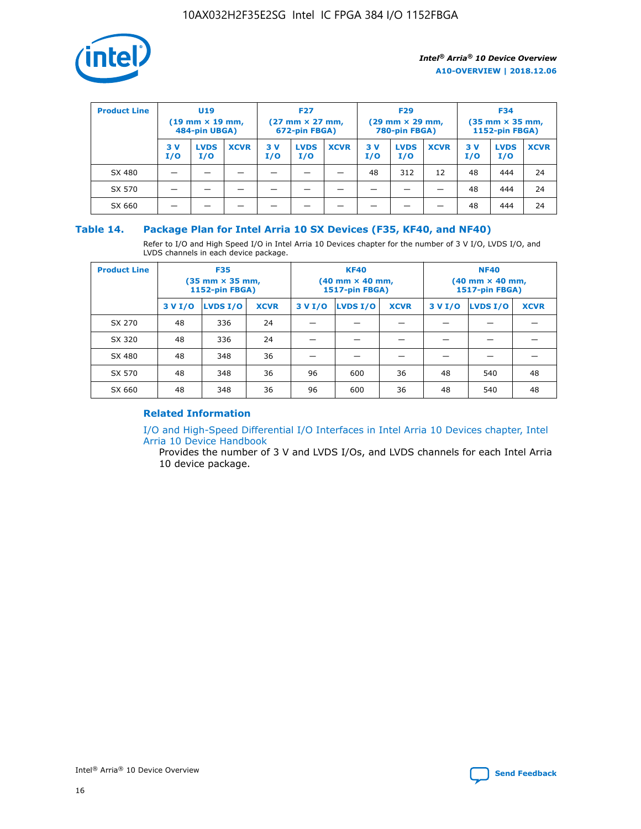

| <b>Product Line</b> | U <sub>19</sub><br>$(19 \text{ mm} \times 19 \text{ mm})$<br>484-pin UBGA) |                    | <b>F27</b><br>$(27 \text{ mm} \times 27 \text{ mm})$<br>672-pin FBGA) |           | <b>F29</b><br>$(29$ mm $\times$ 29 mm,<br>780-pin FBGA) |             |           | <b>F34</b><br>$(35$ mm $\times$ 35 mm,<br><b>1152-pin FBGA)</b> |             |            |                    |             |
|---------------------|----------------------------------------------------------------------------|--------------------|-----------------------------------------------------------------------|-----------|---------------------------------------------------------|-------------|-----------|-----------------------------------------------------------------|-------------|------------|--------------------|-------------|
|                     | 3 V<br>I/O                                                                 | <b>LVDS</b><br>I/O | <b>XCVR</b>                                                           | 3V<br>I/O | <b>LVDS</b><br>I/O                                      | <b>XCVR</b> | 3V<br>I/O | <b>LVDS</b><br>I/O                                              | <b>XCVR</b> | 3 V<br>I/O | <b>LVDS</b><br>I/O | <b>XCVR</b> |
| SX 480              |                                                                            |                    |                                                                       |           |                                                         |             | 48        | 312                                                             | 12          | 48         | 444                | 24          |
| SX 570              |                                                                            |                    |                                                                       |           |                                                         |             |           |                                                                 |             | 48         | 444                | 24          |
| SX 660              |                                                                            |                    |                                                                       |           |                                                         |             |           |                                                                 |             | 48         | 444                | 24          |

## **Table 14. Package Plan for Intel Arria 10 SX Devices (F35, KF40, and NF40)**

Refer to I/O and High Speed I/O in Intel Arria 10 Devices chapter for the number of 3 V I/O, LVDS I/O, and LVDS channels in each device package.

| <b>Product Line</b> | <b>F35</b><br>$(35 \text{ mm} \times 35 \text{ mm})$<br><b>1152-pin FBGA)</b> |          |             |                                           | <b>KF40</b><br>(40 mm × 40 mm,<br>1517-pin FBGA) |    | <b>NF40</b><br>$(40 \text{ mm} \times 40 \text{ mm})$<br>1517-pin FBGA) |          |             |  |
|---------------------|-------------------------------------------------------------------------------|----------|-------------|-------------------------------------------|--------------------------------------------------|----|-------------------------------------------------------------------------|----------|-------------|--|
|                     | 3 V I/O                                                                       | LVDS I/O | <b>XCVR</b> | <b>LVDS I/O</b><br><b>XCVR</b><br>3 V I/O |                                                  |    | 3 V I/O                                                                 | LVDS I/O | <b>XCVR</b> |  |
| SX 270              | 48                                                                            | 336      | 24          |                                           |                                                  |    |                                                                         |          |             |  |
| SX 320              | 48                                                                            | 336      | 24          |                                           |                                                  |    |                                                                         |          |             |  |
| SX 480              | 48                                                                            | 348      | 36          |                                           |                                                  |    |                                                                         |          |             |  |
| SX 570              | 48                                                                            | 348      | 36          | 96                                        | 600                                              | 36 | 48                                                                      | 540      | 48          |  |
| SX 660              | 48                                                                            | 348      | 36          | 96                                        | 600                                              | 36 | 48                                                                      | 540      | 48          |  |

## **Related Information**

[I/O and High-Speed Differential I/O Interfaces in Intel Arria 10 Devices chapter, Intel](https://www.intel.com/content/www/us/en/programmable/documentation/sam1403482614086.html#sam1403482030321) [Arria 10 Device Handbook](https://www.intel.com/content/www/us/en/programmable/documentation/sam1403482614086.html#sam1403482030321)

Provides the number of 3 V and LVDS I/Os, and LVDS channels for each Intel Arria 10 device package.

Intel<sup>®</sup> Arria<sup>®</sup> 10 Device Overview **[Send Feedback](mailto:FPGAtechdocfeedback@intel.com?subject=Feedback%20on%20Intel%20Arria%2010%20Device%20Overview%20(A10-OVERVIEW%202018.12.06)&body=We%20appreciate%20your%20feedback.%20In%20your%20comments,%20also%20specify%20the%20page%20number%20or%20paragraph.%20Thank%20you.)** Send Feedback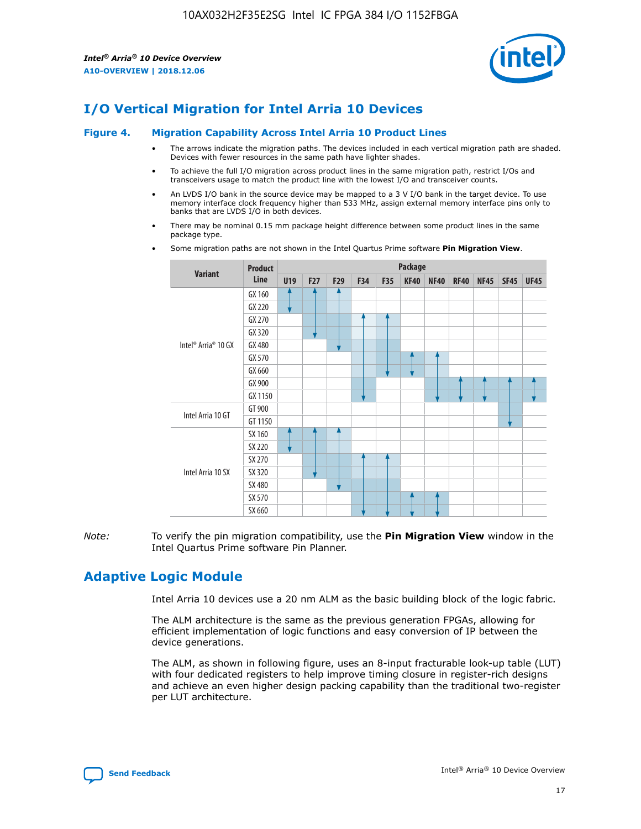

# **I/O Vertical Migration for Intel Arria 10 Devices**

#### **Figure 4. Migration Capability Across Intel Arria 10 Product Lines**

- The arrows indicate the migration paths. The devices included in each vertical migration path are shaded. Devices with fewer resources in the same path have lighter shades.
- To achieve the full I/O migration across product lines in the same migration path, restrict I/Os and transceivers usage to match the product line with the lowest I/O and transceiver counts.
- An LVDS I/O bank in the source device may be mapped to a 3 V I/O bank in the target device. To use memory interface clock frequency higher than 533 MHz, assign external memory interface pins only to banks that are LVDS I/O in both devices.
- There may be nominal 0.15 mm package height difference between some product lines in the same package type.
	- **Variant Product Line Package U19 F27 F29 F34 F35 KF40 NF40 RF40 NF45 SF45 UF45** Intel® Arria® 10 GX GX 160 GX 220 GX 270 GX 320 GX 480 GX 570 GX 660 GX 900 GX 1150 Intel Arria 10 GT GT 900 GT 1150 Intel Arria 10 SX SX 160 SX 220 SX 270 SX 320 SX 480 SX 570 SX 660
- Some migration paths are not shown in the Intel Quartus Prime software **Pin Migration View**.

*Note:* To verify the pin migration compatibility, use the **Pin Migration View** window in the Intel Quartus Prime software Pin Planner.

## **Adaptive Logic Module**

Intel Arria 10 devices use a 20 nm ALM as the basic building block of the logic fabric.

The ALM architecture is the same as the previous generation FPGAs, allowing for efficient implementation of logic functions and easy conversion of IP between the device generations.

The ALM, as shown in following figure, uses an 8-input fracturable look-up table (LUT) with four dedicated registers to help improve timing closure in register-rich designs and achieve an even higher design packing capability than the traditional two-register per LUT architecture.

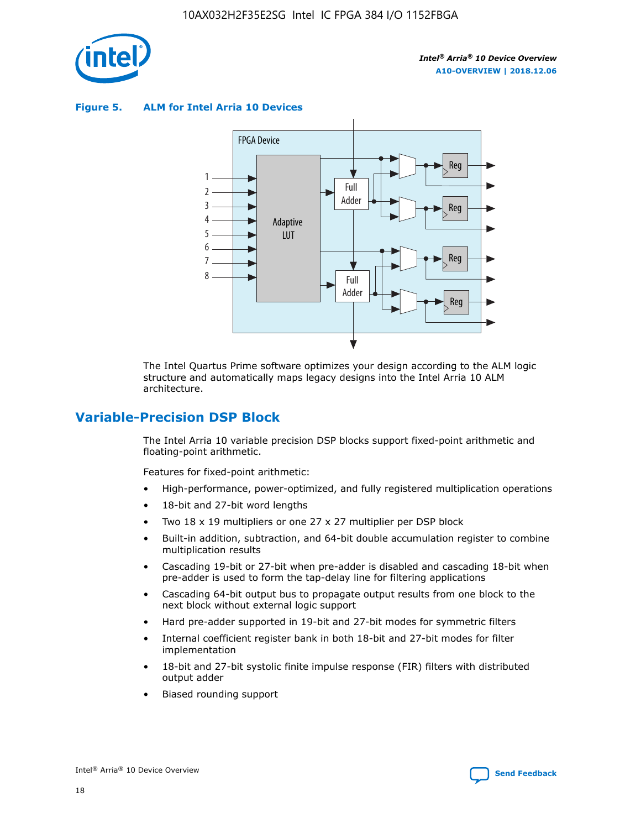

**Figure 5. ALM for Intel Arria 10 Devices**



The Intel Quartus Prime software optimizes your design according to the ALM logic structure and automatically maps legacy designs into the Intel Arria 10 ALM architecture.

## **Variable-Precision DSP Block**

The Intel Arria 10 variable precision DSP blocks support fixed-point arithmetic and floating-point arithmetic.

Features for fixed-point arithmetic:

- High-performance, power-optimized, and fully registered multiplication operations
- 18-bit and 27-bit word lengths
- Two 18 x 19 multipliers or one 27 x 27 multiplier per DSP block
- Built-in addition, subtraction, and 64-bit double accumulation register to combine multiplication results
- Cascading 19-bit or 27-bit when pre-adder is disabled and cascading 18-bit when pre-adder is used to form the tap-delay line for filtering applications
- Cascading 64-bit output bus to propagate output results from one block to the next block without external logic support
- Hard pre-adder supported in 19-bit and 27-bit modes for symmetric filters
- Internal coefficient register bank in both 18-bit and 27-bit modes for filter implementation
- 18-bit and 27-bit systolic finite impulse response (FIR) filters with distributed output adder
- Biased rounding support

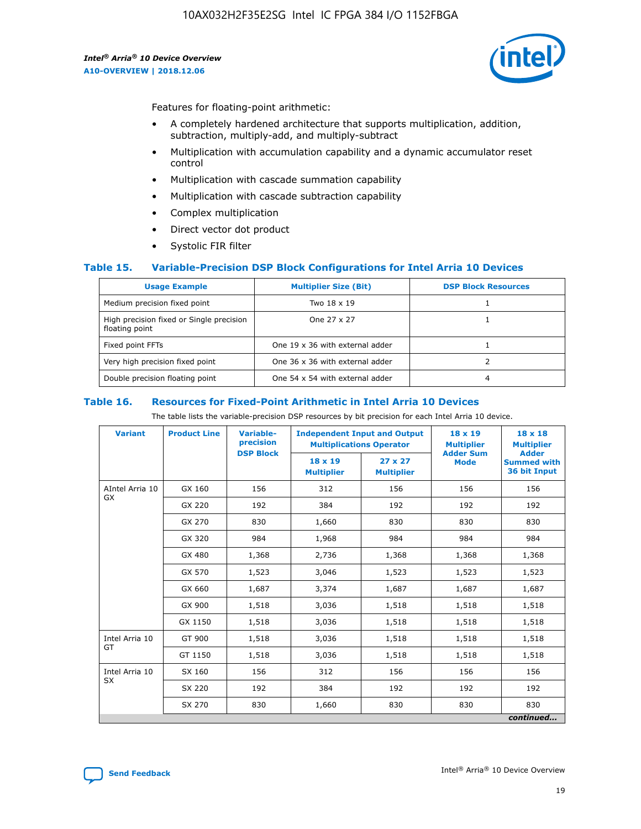

Features for floating-point arithmetic:

- A completely hardened architecture that supports multiplication, addition, subtraction, multiply-add, and multiply-subtract
- Multiplication with accumulation capability and a dynamic accumulator reset control
- Multiplication with cascade summation capability
- Multiplication with cascade subtraction capability
- Complex multiplication
- Direct vector dot product
- Systolic FIR filter

## **Table 15. Variable-Precision DSP Block Configurations for Intel Arria 10 Devices**

| <b>Usage Example</b>                                       | <b>Multiplier Size (Bit)</b>    | <b>DSP Block Resources</b> |
|------------------------------------------------------------|---------------------------------|----------------------------|
| Medium precision fixed point                               | Two 18 x 19                     |                            |
| High precision fixed or Single precision<br>floating point | One 27 x 27                     |                            |
| Fixed point FFTs                                           | One 19 x 36 with external adder |                            |
| Very high precision fixed point                            | One 36 x 36 with external adder |                            |
| Double precision floating point                            | One 54 x 54 with external adder | 4                          |

#### **Table 16. Resources for Fixed-Point Arithmetic in Intel Arria 10 Devices**

The table lists the variable-precision DSP resources by bit precision for each Intel Arria 10 device.

| <b>Variant</b>        | <b>Product Line</b> | <b>Variable-</b><br>precision<br><b>DSP Block</b> | <b>Independent Input and Output</b><br><b>Multiplications Operator</b> |                                     | 18 x 19<br><b>Multiplier</b><br><b>Adder Sum</b> | $18 \times 18$<br><b>Multiplier</b><br><b>Adder</b> |
|-----------------------|---------------------|---------------------------------------------------|------------------------------------------------------------------------|-------------------------------------|--------------------------------------------------|-----------------------------------------------------|
|                       |                     |                                                   | 18 x 19<br><b>Multiplier</b>                                           | $27 \times 27$<br><b>Multiplier</b> | <b>Mode</b>                                      | <b>Summed with</b><br>36 bit Input                  |
| AIntel Arria 10<br>GX | GX 160              | 156                                               | 312                                                                    | 156                                 | 156                                              | 156                                                 |
|                       | GX 220              | 192                                               | 384                                                                    | 192                                 | 192                                              | 192                                                 |
|                       | GX 270              | 830                                               | 1,660                                                                  | 830                                 | 830                                              | 830                                                 |
|                       | GX 320              | 984                                               | 1,968                                                                  | 984                                 | 984                                              | 984                                                 |
|                       | GX 480              | 1,368                                             | 2,736                                                                  | 1,368                               | 1,368                                            | 1,368                                               |
|                       | GX 570              | 1,523                                             | 3,046                                                                  | 1,523                               | 1,523                                            | 1,523                                               |
|                       | GX 660              | 1,687                                             | 3,374                                                                  | 1,687                               | 1,687                                            | 1,687                                               |
|                       | GX 900              | 1,518                                             | 3,036                                                                  | 1,518                               | 1,518                                            | 1,518                                               |
|                       | GX 1150             | 1,518                                             | 3,036                                                                  | 1,518                               | 1,518                                            | 1,518                                               |
| Intel Arria 10        | GT 900              | 1,518                                             | 3,036                                                                  | 1,518                               | 1,518                                            | 1,518                                               |
| GT                    | GT 1150             | 1,518                                             | 3,036                                                                  | 1,518                               | 1,518                                            | 1,518                                               |
| Intel Arria 10        | SX 160              | 156                                               | 312                                                                    | 156                                 | 156                                              | 156                                                 |
| <b>SX</b>             | SX 220              | 192                                               | 384                                                                    | 192                                 | 192                                              | 192                                                 |
|                       | SX 270              | 830                                               | 1,660                                                                  | 830                                 | 830                                              | 830                                                 |
|                       |                     |                                                   |                                                                        |                                     |                                                  | continued                                           |

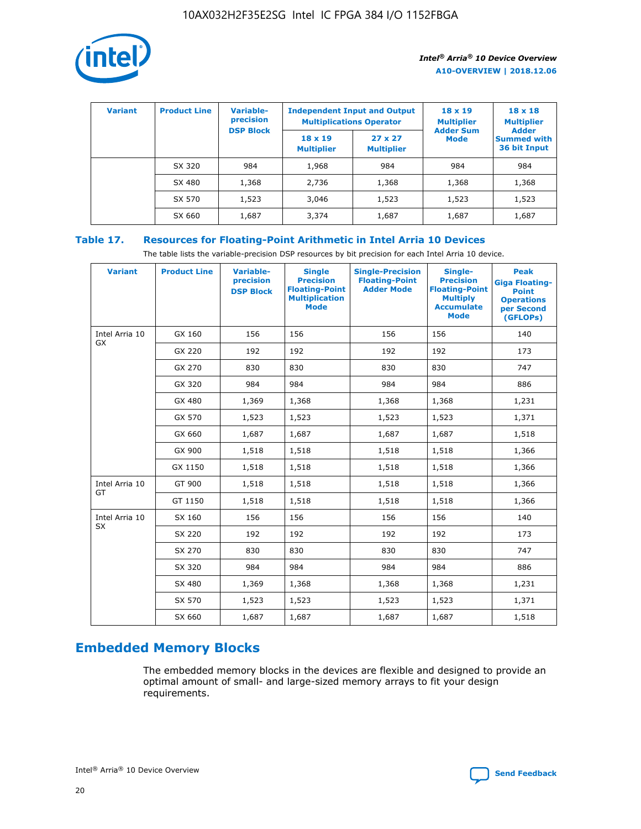

| <b>Variant</b> | <b>Product Line</b> | <b>Variable-</b><br>precision<br><b>DSP Block</b> | <b>Independent Input and Output</b><br><b>Multiplications Operator</b> |                                     | $18 \times 19$<br><b>Multiplier</b><br><b>Adder Sum</b> | $18 \times 18$<br><b>Multiplier</b><br><b>Adder</b> |  |
|----------------|---------------------|---------------------------------------------------|------------------------------------------------------------------------|-------------------------------------|---------------------------------------------------------|-----------------------------------------------------|--|
|                |                     |                                                   | $18 \times 19$<br><b>Multiplier</b>                                    | $27 \times 27$<br><b>Multiplier</b> | <b>Mode</b>                                             | <b>Summed with</b><br>36 bit Input                  |  |
|                | SX 320              | 984                                               | 1,968                                                                  | 984                                 | 984                                                     | 984                                                 |  |
|                | SX 480              | 1,368                                             | 2,736                                                                  | 1,368                               | 1,368                                                   | 1,368                                               |  |
|                | SX 570              | 1,523                                             | 3,046                                                                  | 1,523                               | 1,523                                                   | 1,523                                               |  |
|                | SX 660              | 1,687                                             | 3,374                                                                  | 1,687                               | 1,687                                                   | 1,687                                               |  |

## **Table 17. Resources for Floating-Point Arithmetic in Intel Arria 10 Devices**

The table lists the variable-precision DSP resources by bit precision for each Intel Arria 10 device.

| <b>Variant</b> | <b>Product Line</b> | <b>Variable-</b><br>precision<br><b>DSP Block</b> | <b>Single</b><br><b>Precision</b><br><b>Floating-Point</b><br><b>Multiplication</b><br><b>Mode</b> | <b>Single-Precision</b><br><b>Floating-Point</b><br><b>Adder Mode</b> | Single-<br><b>Precision</b><br><b>Floating-Point</b><br><b>Multiply</b><br><b>Accumulate</b><br><b>Mode</b> | <b>Peak</b><br><b>Giga Floating-</b><br><b>Point</b><br><b>Operations</b><br>per Second<br>(GFLOPs) |
|----------------|---------------------|---------------------------------------------------|----------------------------------------------------------------------------------------------------|-----------------------------------------------------------------------|-------------------------------------------------------------------------------------------------------------|-----------------------------------------------------------------------------------------------------|
| Intel Arria 10 | GX 160              | 156                                               | 156                                                                                                | 156                                                                   | 156                                                                                                         | 140                                                                                                 |
| GX             | GX 220              | 192                                               | 192                                                                                                | 192                                                                   | 192                                                                                                         | 173                                                                                                 |
|                | GX 270              | 830                                               | 830                                                                                                | 830                                                                   | 830                                                                                                         | 747                                                                                                 |
|                | GX 320              | 984                                               | 984                                                                                                | 984                                                                   | 984                                                                                                         | 886                                                                                                 |
|                | GX 480              | 1,369                                             | 1,368                                                                                              | 1,368                                                                 | 1,368                                                                                                       | 1,231                                                                                               |
|                | GX 570              | 1,523                                             | 1,523                                                                                              | 1,523                                                                 | 1,523                                                                                                       | 1,371                                                                                               |
|                | GX 660              | 1,687                                             | 1,687                                                                                              | 1,687                                                                 | 1,687                                                                                                       | 1,518                                                                                               |
|                | GX 900              | 1,518                                             | 1,518                                                                                              | 1,518                                                                 | 1,518                                                                                                       | 1,366                                                                                               |
|                | GX 1150             | 1,518                                             | 1,518                                                                                              | 1,518                                                                 | 1,518                                                                                                       | 1,366                                                                                               |
| Intel Arria 10 | GT 900              | 1,518                                             | 1,518                                                                                              | 1,518                                                                 | 1,518                                                                                                       | 1,366                                                                                               |
| GT             | GT 1150             | 1,518                                             | 1,518                                                                                              | 1,518                                                                 | 1,518                                                                                                       | 1,366                                                                                               |
| Intel Arria 10 | SX 160              | 156                                               | 156                                                                                                | 156                                                                   | 156                                                                                                         | 140                                                                                                 |
| <b>SX</b>      | SX 220              | 192                                               | 192                                                                                                | 192                                                                   | 192                                                                                                         | 173                                                                                                 |
|                | SX 270              | 830                                               | 830                                                                                                | 830                                                                   | 830                                                                                                         | 747                                                                                                 |
|                | SX 320              | 984                                               | 984                                                                                                | 984                                                                   | 984                                                                                                         | 886                                                                                                 |
|                | SX 480              | 1,369                                             | 1,368                                                                                              | 1,368                                                                 | 1,368                                                                                                       | 1,231                                                                                               |
|                | SX 570              | 1,523                                             | 1,523                                                                                              | 1,523                                                                 | 1,523                                                                                                       | 1,371                                                                                               |
|                | SX 660              | 1,687                                             | 1,687                                                                                              | 1,687                                                                 | 1,687                                                                                                       | 1,518                                                                                               |

# **Embedded Memory Blocks**

The embedded memory blocks in the devices are flexible and designed to provide an optimal amount of small- and large-sized memory arrays to fit your design requirements.

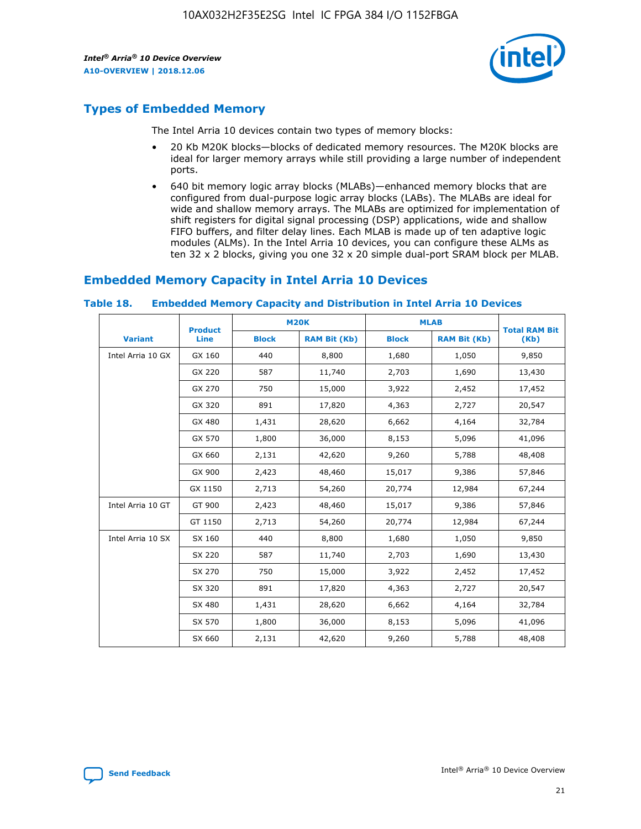

## **Types of Embedded Memory**

The Intel Arria 10 devices contain two types of memory blocks:

- 20 Kb M20K blocks—blocks of dedicated memory resources. The M20K blocks are ideal for larger memory arrays while still providing a large number of independent ports.
- 640 bit memory logic array blocks (MLABs)—enhanced memory blocks that are configured from dual-purpose logic array blocks (LABs). The MLABs are ideal for wide and shallow memory arrays. The MLABs are optimized for implementation of shift registers for digital signal processing (DSP) applications, wide and shallow FIFO buffers, and filter delay lines. Each MLAB is made up of ten adaptive logic modules (ALMs). In the Intel Arria 10 devices, you can configure these ALMs as ten 32 x 2 blocks, giving you one 32 x 20 simple dual-port SRAM block per MLAB.

## **Embedded Memory Capacity in Intel Arria 10 Devices**

|                   | <b>Product</b> |              | <b>M20K</b>         | <b>MLAB</b>  |                     | <b>Total RAM Bit</b> |  |
|-------------------|----------------|--------------|---------------------|--------------|---------------------|----------------------|--|
| <b>Variant</b>    | Line           | <b>Block</b> | <b>RAM Bit (Kb)</b> | <b>Block</b> | <b>RAM Bit (Kb)</b> | (Kb)                 |  |
| Intel Arria 10 GX | GX 160         | 440          | 8,800               | 1,680        | 1,050               | 9,850                |  |
|                   | GX 220         | 587          | 11,740              | 2,703        | 1,690               | 13,430               |  |
|                   | GX 270         | 750          | 15,000              | 3,922        | 2,452               | 17,452               |  |
|                   | GX 320         | 891          | 17,820              | 4,363        | 2,727               | 20,547               |  |
|                   | GX 480         | 1,431        | 28,620              | 6,662        | 4,164               | 32,784               |  |
|                   | GX 570         | 1,800        | 36,000              | 8,153        | 5,096               | 41,096               |  |
|                   | GX 660         | 2,131        | 42,620              | 9,260        | 5,788               | 48,408               |  |
|                   | GX 900         | 2,423        | 48,460              | 15,017       | 9,386               | 57,846               |  |
|                   | GX 1150        | 2,713        | 54,260              | 20,774       | 12,984              | 67,244               |  |
| Intel Arria 10 GT | GT 900         | 2,423        | 48,460              | 15,017       | 9,386               | 57,846               |  |
|                   | GT 1150        | 2,713        | 54,260              | 20,774       | 12,984              | 67,244               |  |
| Intel Arria 10 SX | SX 160         | 440          | 8,800               | 1,680        | 1,050               | 9,850                |  |
|                   | SX 220         | 587          | 11,740              | 2,703        | 1,690               | 13,430               |  |
|                   | SX 270         | 750          | 15,000              | 3,922        | 2,452               | 17,452               |  |
|                   | SX 320         | 891          | 17,820              | 4,363        | 2,727               | 20,547               |  |
|                   | SX 480         | 1,431        | 28,620              | 6,662        | 4,164               | 32,784               |  |
|                   | SX 570         | 1,800        | 36,000              | 8,153        | 5,096               | 41,096               |  |
|                   | SX 660         | 2,131        | 42,620              | 9,260        | 5,788               | 48,408               |  |

#### **Table 18. Embedded Memory Capacity and Distribution in Intel Arria 10 Devices**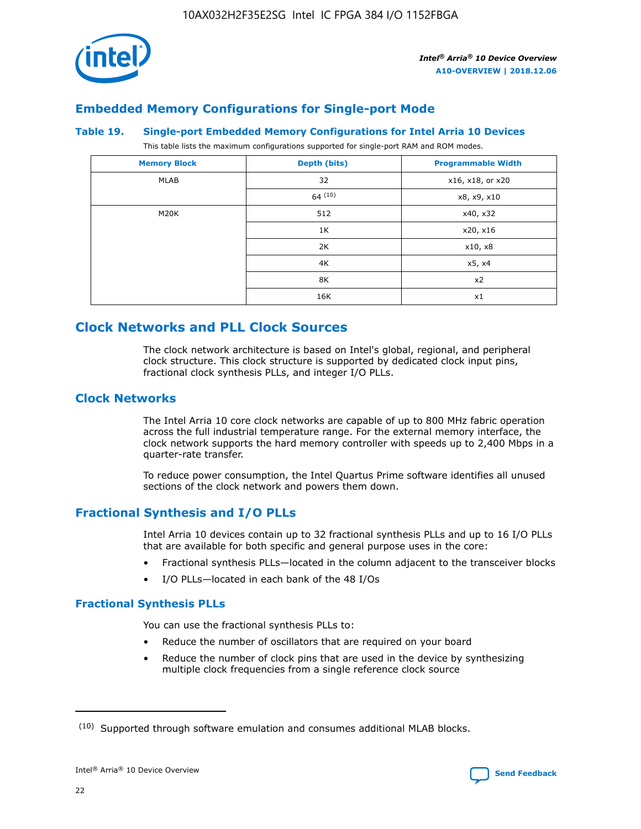

## **Embedded Memory Configurations for Single-port Mode**

#### **Table 19. Single-port Embedded Memory Configurations for Intel Arria 10 Devices**

This table lists the maximum configurations supported for single-port RAM and ROM modes.

| <b>Memory Block</b> | Depth (bits) | <b>Programmable Width</b> |
|---------------------|--------------|---------------------------|
| MLAB                | 32           | x16, x18, or x20          |
|                     | 64(10)       | x8, x9, x10               |
| M20K                | 512          | x40, x32                  |
|                     | 1K           | x20, x16                  |
|                     | 2K           | x10, x8                   |
|                     | 4K           | x5, x4                    |
|                     | 8K           | x2                        |
|                     | 16K          | x1                        |

## **Clock Networks and PLL Clock Sources**

The clock network architecture is based on Intel's global, regional, and peripheral clock structure. This clock structure is supported by dedicated clock input pins, fractional clock synthesis PLLs, and integer I/O PLLs.

## **Clock Networks**

The Intel Arria 10 core clock networks are capable of up to 800 MHz fabric operation across the full industrial temperature range. For the external memory interface, the clock network supports the hard memory controller with speeds up to 2,400 Mbps in a quarter-rate transfer.

To reduce power consumption, the Intel Quartus Prime software identifies all unused sections of the clock network and powers them down.

## **Fractional Synthesis and I/O PLLs**

Intel Arria 10 devices contain up to 32 fractional synthesis PLLs and up to 16 I/O PLLs that are available for both specific and general purpose uses in the core:

- Fractional synthesis PLLs—located in the column adjacent to the transceiver blocks
- I/O PLLs—located in each bank of the 48 I/Os

## **Fractional Synthesis PLLs**

You can use the fractional synthesis PLLs to:

- Reduce the number of oscillators that are required on your board
- Reduce the number of clock pins that are used in the device by synthesizing multiple clock frequencies from a single reference clock source

<sup>(10)</sup> Supported through software emulation and consumes additional MLAB blocks.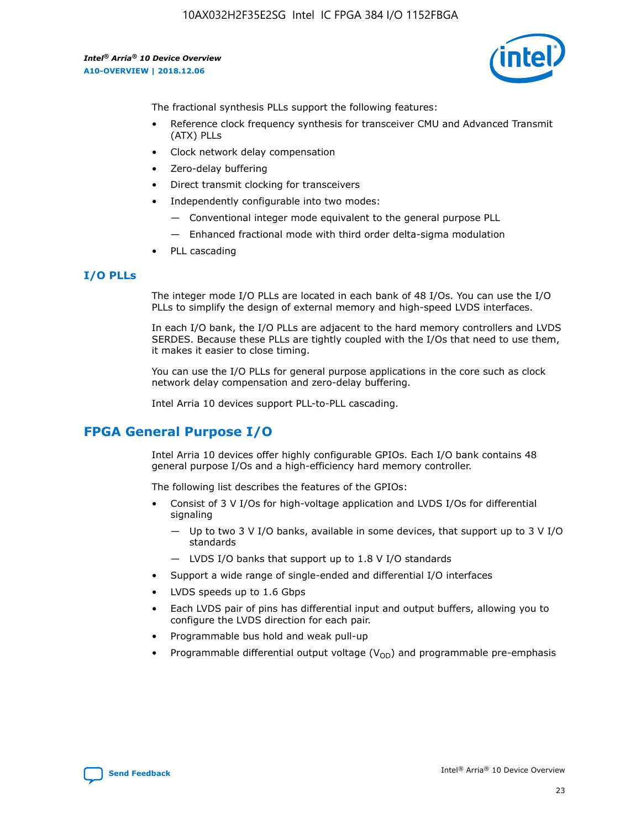

The fractional synthesis PLLs support the following features:

- Reference clock frequency synthesis for transceiver CMU and Advanced Transmit (ATX) PLLs
- Clock network delay compensation
- Zero-delay buffering
- Direct transmit clocking for transceivers
- Independently configurable into two modes:
	- Conventional integer mode equivalent to the general purpose PLL
	- Enhanced fractional mode with third order delta-sigma modulation
- PLL cascading

## **I/O PLLs**

The integer mode I/O PLLs are located in each bank of 48 I/Os. You can use the I/O PLLs to simplify the design of external memory and high-speed LVDS interfaces.

In each I/O bank, the I/O PLLs are adjacent to the hard memory controllers and LVDS SERDES. Because these PLLs are tightly coupled with the I/Os that need to use them, it makes it easier to close timing.

You can use the I/O PLLs for general purpose applications in the core such as clock network delay compensation and zero-delay buffering.

Intel Arria 10 devices support PLL-to-PLL cascading.

## **FPGA General Purpose I/O**

Intel Arria 10 devices offer highly configurable GPIOs. Each I/O bank contains 48 general purpose I/Os and a high-efficiency hard memory controller.

The following list describes the features of the GPIOs:

- Consist of 3 V I/Os for high-voltage application and LVDS I/Os for differential signaling
	- Up to two 3 V I/O banks, available in some devices, that support up to 3 V I/O standards
	- LVDS I/O banks that support up to 1.8 V I/O standards
- Support a wide range of single-ended and differential I/O interfaces
- LVDS speeds up to 1.6 Gbps
- Each LVDS pair of pins has differential input and output buffers, allowing you to configure the LVDS direction for each pair.
- Programmable bus hold and weak pull-up
- Programmable differential output voltage  $(V_{OD})$  and programmable pre-emphasis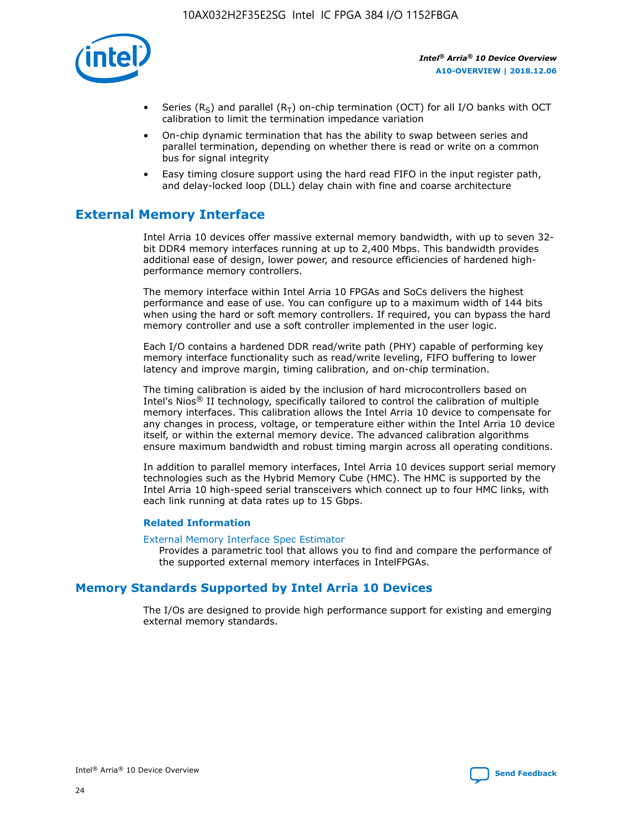

- Series (R<sub>S</sub>) and parallel (R<sub>T</sub>) on-chip termination (OCT) for all I/O banks with OCT calibration to limit the termination impedance variation
- On-chip dynamic termination that has the ability to swap between series and parallel termination, depending on whether there is read or write on a common bus for signal integrity
- Easy timing closure support using the hard read FIFO in the input register path, and delay-locked loop (DLL) delay chain with fine and coarse architecture

## **External Memory Interface**

Intel Arria 10 devices offer massive external memory bandwidth, with up to seven 32 bit DDR4 memory interfaces running at up to 2,400 Mbps. This bandwidth provides additional ease of design, lower power, and resource efficiencies of hardened highperformance memory controllers.

The memory interface within Intel Arria 10 FPGAs and SoCs delivers the highest performance and ease of use. You can configure up to a maximum width of 144 bits when using the hard or soft memory controllers. If required, you can bypass the hard memory controller and use a soft controller implemented in the user logic.

Each I/O contains a hardened DDR read/write path (PHY) capable of performing key memory interface functionality such as read/write leveling, FIFO buffering to lower latency and improve margin, timing calibration, and on-chip termination.

The timing calibration is aided by the inclusion of hard microcontrollers based on Intel's Nios® II technology, specifically tailored to control the calibration of multiple memory interfaces. This calibration allows the Intel Arria 10 device to compensate for any changes in process, voltage, or temperature either within the Intel Arria 10 device itself, or within the external memory device. The advanced calibration algorithms ensure maximum bandwidth and robust timing margin across all operating conditions.

In addition to parallel memory interfaces, Intel Arria 10 devices support serial memory technologies such as the Hybrid Memory Cube (HMC). The HMC is supported by the Intel Arria 10 high-speed serial transceivers which connect up to four HMC links, with each link running at data rates up to 15 Gbps.

## **Related Information**

#### [External Memory Interface Spec Estimator](http://www.altera.com/technology/memory/estimator/mem-emif-index.html)

Provides a parametric tool that allows you to find and compare the performance of the supported external memory interfaces in IntelFPGAs.

## **Memory Standards Supported by Intel Arria 10 Devices**

The I/Os are designed to provide high performance support for existing and emerging external memory standards.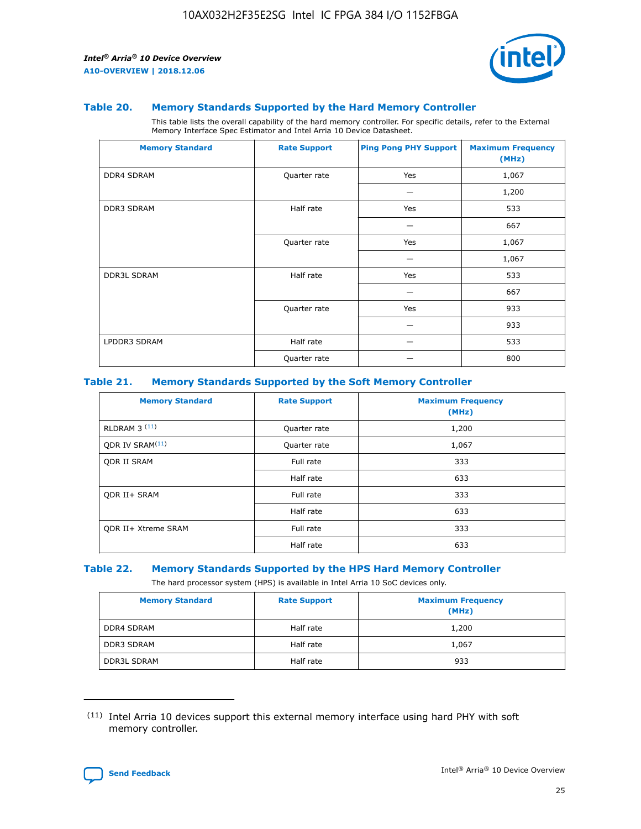

#### **Table 20. Memory Standards Supported by the Hard Memory Controller**

This table lists the overall capability of the hard memory controller. For specific details, refer to the External Memory Interface Spec Estimator and Intel Arria 10 Device Datasheet.

| <b>Memory Standard</b> | <b>Rate Support</b> | <b>Ping Pong PHY Support</b> | <b>Maximum Frequency</b><br>(MHz) |
|------------------------|---------------------|------------------------------|-----------------------------------|
| <b>DDR4 SDRAM</b>      | Quarter rate        | Yes                          | 1,067                             |
|                        |                     |                              | 1,200                             |
| <b>DDR3 SDRAM</b>      | Half rate           | Yes                          | 533                               |
|                        |                     |                              | 667                               |
|                        | Quarter rate        | Yes                          | 1,067                             |
|                        |                     |                              | 1,067                             |
| <b>DDR3L SDRAM</b>     | Half rate           | Yes                          | 533                               |
|                        |                     |                              | 667                               |
|                        | Quarter rate        | Yes                          | 933                               |
|                        |                     |                              | 933                               |
| LPDDR3 SDRAM           | Half rate           |                              | 533                               |
|                        | Quarter rate        |                              | 800                               |

## **Table 21. Memory Standards Supported by the Soft Memory Controller**

| <b>Memory Standard</b>      | <b>Rate Support</b> | <b>Maximum Frequency</b><br>(MHz) |
|-----------------------------|---------------------|-----------------------------------|
| <b>RLDRAM 3 (11)</b>        | Quarter rate        | 1,200                             |
| ODR IV SRAM <sup>(11)</sup> | Quarter rate        | 1,067                             |
| <b>ODR II SRAM</b>          | Full rate           | 333                               |
|                             | Half rate           | 633                               |
| <b>ODR II+ SRAM</b>         | Full rate           | 333                               |
|                             | Half rate           | 633                               |
| <b>ODR II+ Xtreme SRAM</b>  | Full rate           | 333                               |
|                             | Half rate           | 633                               |

#### **Table 22. Memory Standards Supported by the HPS Hard Memory Controller**

The hard processor system (HPS) is available in Intel Arria 10 SoC devices only.

| <b>Memory Standard</b> | <b>Rate Support</b> | <b>Maximum Frequency</b><br>(MHz) |
|------------------------|---------------------|-----------------------------------|
| <b>DDR4 SDRAM</b>      | Half rate           | 1,200                             |
| <b>DDR3 SDRAM</b>      | Half rate           | 1,067                             |
| <b>DDR3L SDRAM</b>     | Half rate           | 933                               |

<sup>(11)</sup> Intel Arria 10 devices support this external memory interface using hard PHY with soft memory controller.

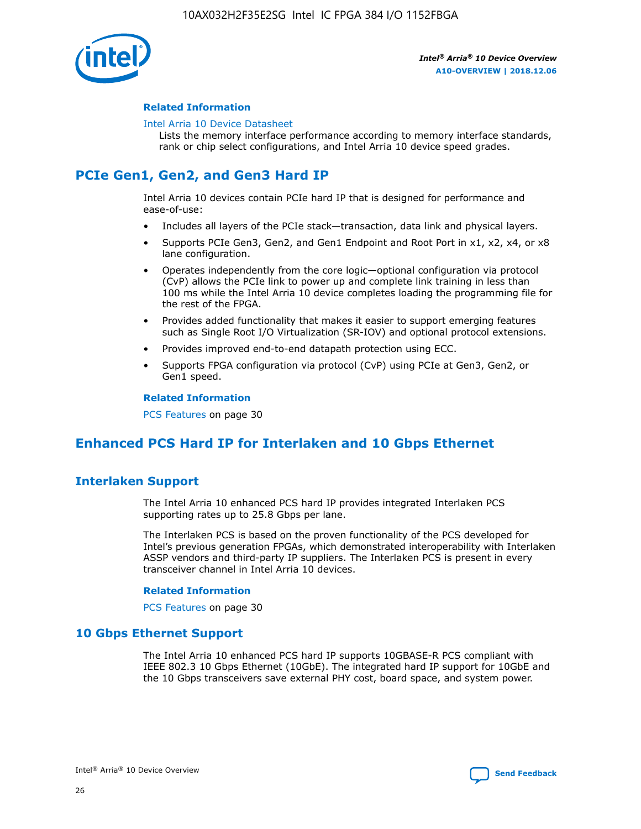

## **Related Information**

#### [Intel Arria 10 Device Datasheet](https://www.intel.com/content/www/us/en/programmable/documentation/mcn1413182292568.html#mcn1413182153340)

Lists the memory interface performance according to memory interface standards, rank or chip select configurations, and Intel Arria 10 device speed grades.

# **PCIe Gen1, Gen2, and Gen3 Hard IP**

Intel Arria 10 devices contain PCIe hard IP that is designed for performance and ease-of-use:

- Includes all layers of the PCIe stack—transaction, data link and physical layers.
- Supports PCIe Gen3, Gen2, and Gen1 Endpoint and Root Port in x1, x2, x4, or x8 lane configuration.
- Operates independently from the core logic—optional configuration via protocol (CvP) allows the PCIe link to power up and complete link training in less than 100 ms while the Intel Arria 10 device completes loading the programming file for the rest of the FPGA.
- Provides added functionality that makes it easier to support emerging features such as Single Root I/O Virtualization (SR-IOV) and optional protocol extensions.
- Provides improved end-to-end datapath protection using ECC.
- Supports FPGA configuration via protocol (CvP) using PCIe at Gen3, Gen2, or Gen1 speed.

#### **Related Information**

PCS Features on page 30

## **Enhanced PCS Hard IP for Interlaken and 10 Gbps Ethernet**

## **Interlaken Support**

The Intel Arria 10 enhanced PCS hard IP provides integrated Interlaken PCS supporting rates up to 25.8 Gbps per lane.

The Interlaken PCS is based on the proven functionality of the PCS developed for Intel's previous generation FPGAs, which demonstrated interoperability with Interlaken ASSP vendors and third-party IP suppliers. The Interlaken PCS is present in every transceiver channel in Intel Arria 10 devices.

## **Related Information**

PCS Features on page 30

## **10 Gbps Ethernet Support**

The Intel Arria 10 enhanced PCS hard IP supports 10GBASE-R PCS compliant with IEEE 802.3 10 Gbps Ethernet (10GbE). The integrated hard IP support for 10GbE and the 10 Gbps transceivers save external PHY cost, board space, and system power.

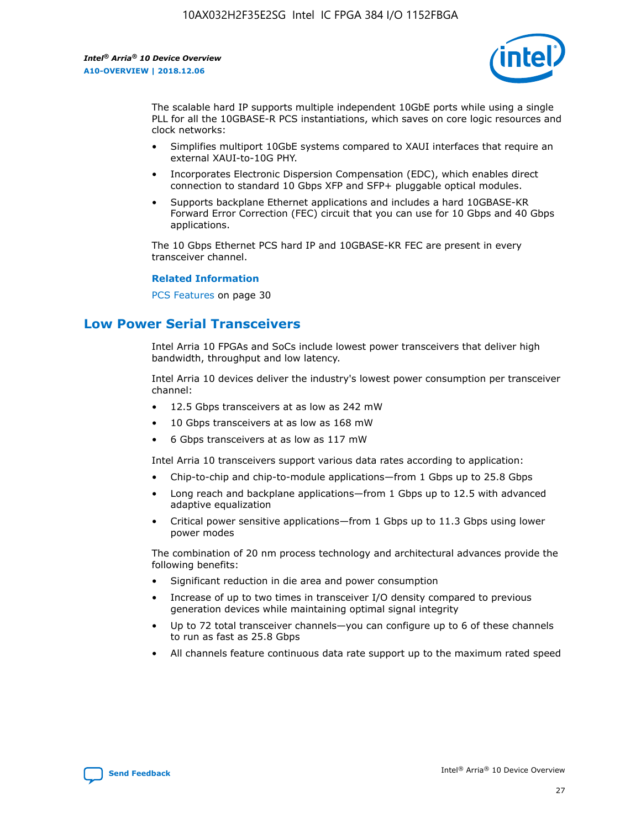

The scalable hard IP supports multiple independent 10GbE ports while using a single PLL for all the 10GBASE-R PCS instantiations, which saves on core logic resources and clock networks:

- Simplifies multiport 10GbE systems compared to XAUI interfaces that require an external XAUI-to-10G PHY.
- Incorporates Electronic Dispersion Compensation (EDC), which enables direct connection to standard 10 Gbps XFP and SFP+ pluggable optical modules.
- Supports backplane Ethernet applications and includes a hard 10GBASE-KR Forward Error Correction (FEC) circuit that you can use for 10 Gbps and 40 Gbps applications.

The 10 Gbps Ethernet PCS hard IP and 10GBASE-KR FEC are present in every transceiver channel.

#### **Related Information**

PCS Features on page 30

## **Low Power Serial Transceivers**

Intel Arria 10 FPGAs and SoCs include lowest power transceivers that deliver high bandwidth, throughput and low latency.

Intel Arria 10 devices deliver the industry's lowest power consumption per transceiver channel:

- 12.5 Gbps transceivers at as low as 242 mW
- 10 Gbps transceivers at as low as 168 mW
- 6 Gbps transceivers at as low as 117 mW

Intel Arria 10 transceivers support various data rates according to application:

- Chip-to-chip and chip-to-module applications—from 1 Gbps up to 25.8 Gbps
- Long reach and backplane applications—from 1 Gbps up to 12.5 with advanced adaptive equalization
- Critical power sensitive applications—from 1 Gbps up to 11.3 Gbps using lower power modes

The combination of 20 nm process technology and architectural advances provide the following benefits:

- Significant reduction in die area and power consumption
- Increase of up to two times in transceiver I/O density compared to previous generation devices while maintaining optimal signal integrity
- Up to 72 total transceiver channels—you can configure up to 6 of these channels to run as fast as 25.8 Gbps
- All channels feature continuous data rate support up to the maximum rated speed

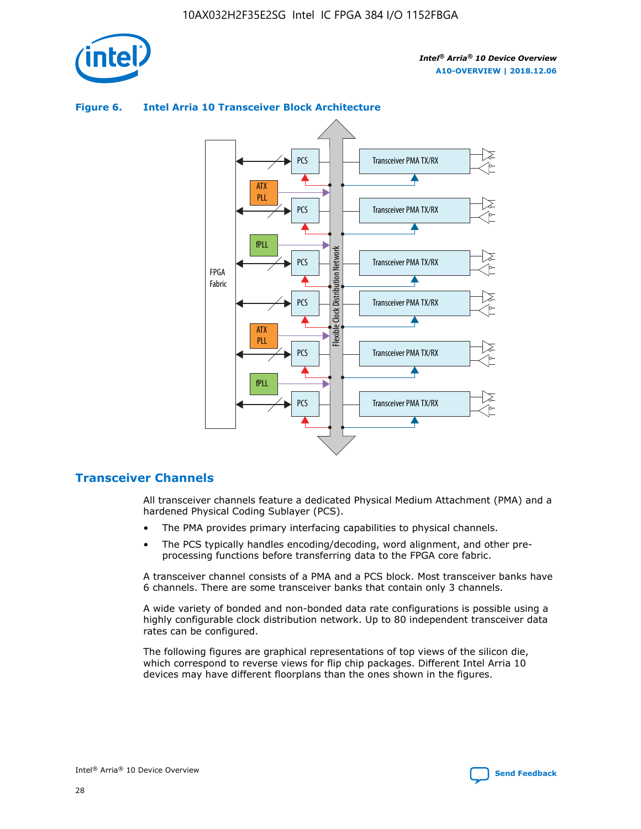

## Transceiver PMA TX/RX PCS ATX PLL Transceiver PMA TX/RX PCS fPLL Network Flexible Clock Distribution Network PCS Transceiver PMA TX/RX FPGA **Clock Distribution** Fabric PCS Transceiver PMA TX/RX ATX Flexible PLL PCS Transceiver PMA TX/RX ▲ fPLL Transceiver PMA TX/RX PCS 4

## **Figure 6. Intel Arria 10 Transceiver Block Architecture**

## **Transceiver Channels**

All transceiver channels feature a dedicated Physical Medium Attachment (PMA) and a hardened Physical Coding Sublayer (PCS).

- The PMA provides primary interfacing capabilities to physical channels.
- The PCS typically handles encoding/decoding, word alignment, and other preprocessing functions before transferring data to the FPGA core fabric.

A transceiver channel consists of a PMA and a PCS block. Most transceiver banks have 6 channels. There are some transceiver banks that contain only 3 channels.

A wide variety of bonded and non-bonded data rate configurations is possible using a highly configurable clock distribution network. Up to 80 independent transceiver data rates can be configured.

The following figures are graphical representations of top views of the silicon die, which correspond to reverse views for flip chip packages. Different Intel Arria 10 devices may have different floorplans than the ones shown in the figures.

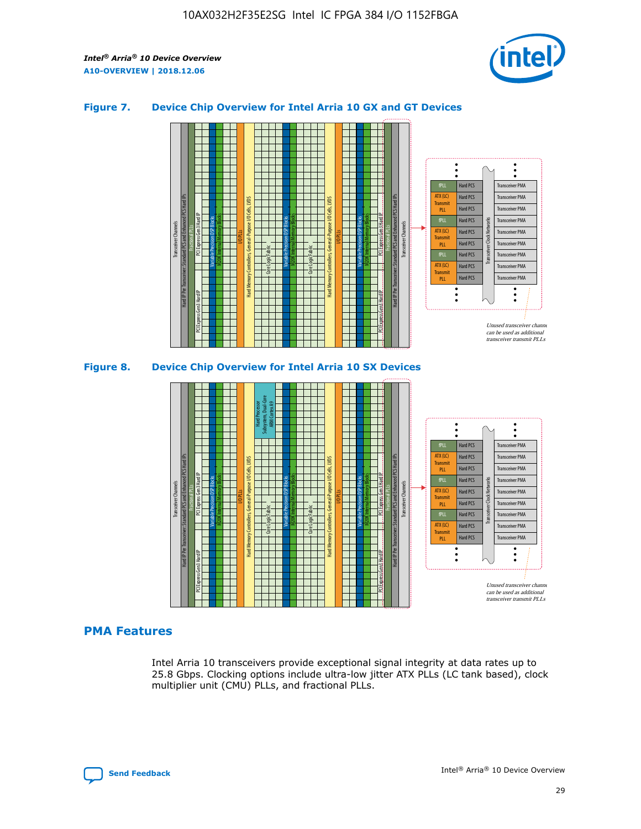

## **Figure 7. Device Chip Overview for Intel Arria 10 GX and GT Devices**





## **PMA Features**

Intel Arria 10 transceivers provide exceptional signal integrity at data rates up to 25.8 Gbps. Clocking options include ultra-low jitter ATX PLLs (LC tank based), clock multiplier unit (CMU) PLLs, and fractional PLLs.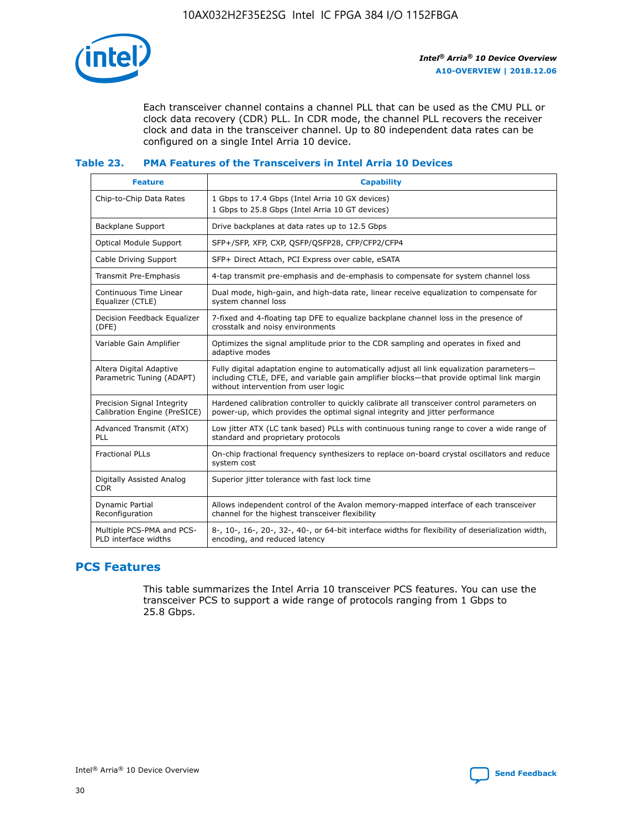

Each transceiver channel contains a channel PLL that can be used as the CMU PLL or clock data recovery (CDR) PLL. In CDR mode, the channel PLL recovers the receiver clock and data in the transceiver channel. Up to 80 independent data rates can be configured on a single Intel Arria 10 device.

## **Table 23. PMA Features of the Transceivers in Intel Arria 10 Devices**

| <b>Feature</b>                                             | <b>Capability</b>                                                                                                                                                                                                             |
|------------------------------------------------------------|-------------------------------------------------------------------------------------------------------------------------------------------------------------------------------------------------------------------------------|
| Chip-to-Chip Data Rates                                    | 1 Gbps to 17.4 Gbps (Intel Arria 10 GX devices)<br>1 Gbps to 25.8 Gbps (Intel Arria 10 GT devices)                                                                                                                            |
| Backplane Support                                          | Drive backplanes at data rates up to 12.5 Gbps                                                                                                                                                                                |
| <b>Optical Module Support</b>                              | SFP+/SFP, XFP, CXP, QSFP/QSFP28, CFP/CFP2/CFP4                                                                                                                                                                                |
| Cable Driving Support                                      | SFP+ Direct Attach, PCI Express over cable, eSATA                                                                                                                                                                             |
| Transmit Pre-Emphasis                                      | 4-tap transmit pre-emphasis and de-emphasis to compensate for system channel loss                                                                                                                                             |
| Continuous Time Linear<br>Equalizer (CTLE)                 | Dual mode, high-gain, and high-data rate, linear receive equalization to compensate for<br>system channel loss                                                                                                                |
| Decision Feedback Equalizer<br>(DFE)                       | 7-fixed and 4-floating tap DFE to equalize backplane channel loss in the presence of<br>crosstalk and noisy environments                                                                                                      |
| Variable Gain Amplifier                                    | Optimizes the signal amplitude prior to the CDR sampling and operates in fixed and<br>adaptive modes                                                                                                                          |
| Altera Digital Adaptive<br>Parametric Tuning (ADAPT)       | Fully digital adaptation engine to automatically adjust all link equalization parameters-<br>including CTLE, DFE, and variable gain amplifier blocks—that provide optimal link margin<br>without intervention from user logic |
| Precision Signal Integrity<br>Calibration Engine (PreSICE) | Hardened calibration controller to quickly calibrate all transceiver control parameters on<br>power-up, which provides the optimal signal integrity and jitter performance                                                    |
| Advanced Transmit (ATX)<br><b>PLL</b>                      | Low jitter ATX (LC tank based) PLLs with continuous tuning range to cover a wide range of<br>standard and proprietary protocols                                                                                               |
| <b>Fractional PLLs</b>                                     | On-chip fractional frequency synthesizers to replace on-board crystal oscillators and reduce<br>system cost                                                                                                                   |
| Digitally Assisted Analog<br><b>CDR</b>                    | Superior jitter tolerance with fast lock time                                                                                                                                                                                 |
| Dynamic Partial<br>Reconfiguration                         | Allows independent control of the Avalon memory-mapped interface of each transceiver<br>channel for the highest transceiver flexibility                                                                                       |
| Multiple PCS-PMA and PCS-<br>PLD interface widths          | 8-, 10-, 16-, 20-, 32-, 40-, or 64-bit interface widths for flexibility of deserialization width,<br>encoding, and reduced latency                                                                                            |

## **PCS Features**

This table summarizes the Intel Arria 10 transceiver PCS features. You can use the transceiver PCS to support a wide range of protocols ranging from 1 Gbps to 25.8 Gbps.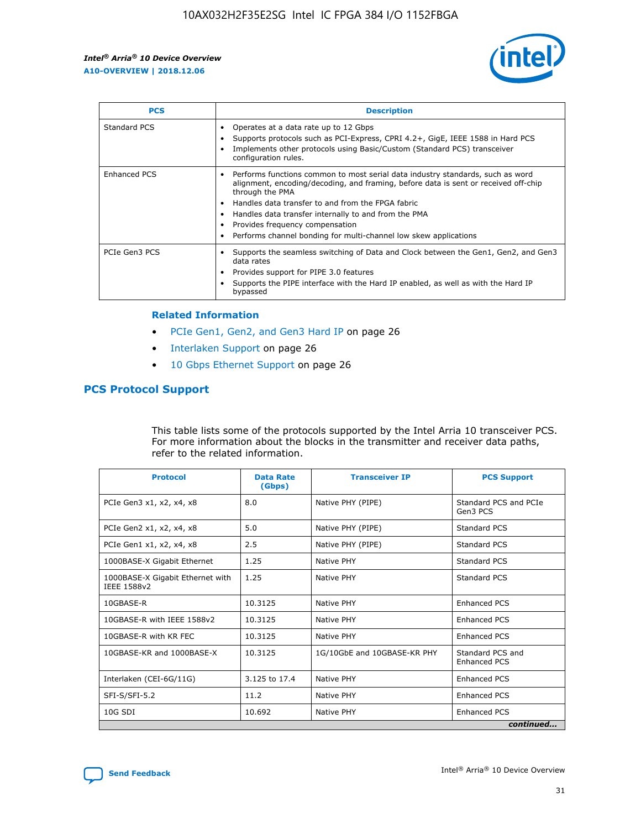

| <b>PCS</b>          | <b>Description</b>                                                                                                                                                                                                                                                                                                                                                                                             |
|---------------------|----------------------------------------------------------------------------------------------------------------------------------------------------------------------------------------------------------------------------------------------------------------------------------------------------------------------------------------------------------------------------------------------------------------|
| Standard PCS        | Operates at a data rate up to 12 Gbps<br>Supports protocols such as PCI-Express, CPRI 4.2+, GigE, IEEE 1588 in Hard PCS<br>Implements other protocols using Basic/Custom (Standard PCS) transceiver<br>configuration rules.                                                                                                                                                                                    |
| <b>Enhanced PCS</b> | Performs functions common to most serial data industry standards, such as word<br>alignment, encoding/decoding, and framing, before data is sent or received off-chip<br>through the PMA<br>• Handles data transfer to and from the FPGA fabric<br>Handles data transfer internally to and from the PMA<br>Provides frequency compensation<br>Performs channel bonding for multi-channel low skew applications |
| PCIe Gen3 PCS       | Supports the seamless switching of Data and Clock between the Gen1, Gen2, and Gen3<br>data rates<br>Provides support for PIPE 3.0 features<br>Supports the PIPE interface with the Hard IP enabled, as well as with the Hard IP<br>bypassed                                                                                                                                                                    |

#### **Related Information**

- PCIe Gen1, Gen2, and Gen3 Hard IP on page 26
- Interlaken Support on page 26
- 10 Gbps Ethernet Support on page 26

## **PCS Protocol Support**

This table lists some of the protocols supported by the Intel Arria 10 transceiver PCS. For more information about the blocks in the transmitter and receiver data paths, refer to the related information.

| <b>Protocol</b>                                 | <b>Data Rate</b><br>(Gbps) | <b>Transceiver IP</b>       | <b>PCS Support</b>                      |
|-------------------------------------------------|----------------------------|-----------------------------|-----------------------------------------|
| PCIe Gen3 x1, x2, x4, x8                        | 8.0                        | Native PHY (PIPE)           | Standard PCS and PCIe<br>Gen3 PCS       |
| PCIe Gen2 x1, x2, x4, x8                        | 5.0                        | Native PHY (PIPE)           | <b>Standard PCS</b>                     |
| PCIe Gen1 x1, x2, x4, x8                        | 2.5                        | Native PHY (PIPE)           | Standard PCS                            |
| 1000BASE-X Gigabit Ethernet                     | 1.25                       | Native PHY                  | <b>Standard PCS</b>                     |
| 1000BASE-X Gigabit Ethernet with<br>IEEE 1588v2 | 1.25                       | Native PHY                  | Standard PCS                            |
| 10GBASE-R                                       | 10.3125                    | Native PHY                  | <b>Enhanced PCS</b>                     |
| 10GBASE-R with IEEE 1588v2                      | 10.3125                    | Native PHY                  | <b>Enhanced PCS</b>                     |
| 10GBASE-R with KR FEC                           | 10.3125                    | Native PHY                  | <b>Enhanced PCS</b>                     |
| 10GBASE-KR and 1000BASE-X                       | 10.3125                    | 1G/10GbE and 10GBASE-KR PHY | Standard PCS and<br><b>Enhanced PCS</b> |
| Interlaken (CEI-6G/11G)                         | 3.125 to 17.4              | Native PHY                  | <b>Enhanced PCS</b>                     |
| SFI-S/SFI-5.2                                   | 11.2                       | Native PHY                  | <b>Enhanced PCS</b>                     |
| $10G$ SDI                                       | 10.692                     | Native PHY                  | <b>Enhanced PCS</b>                     |
|                                                 |                            |                             | continued                               |

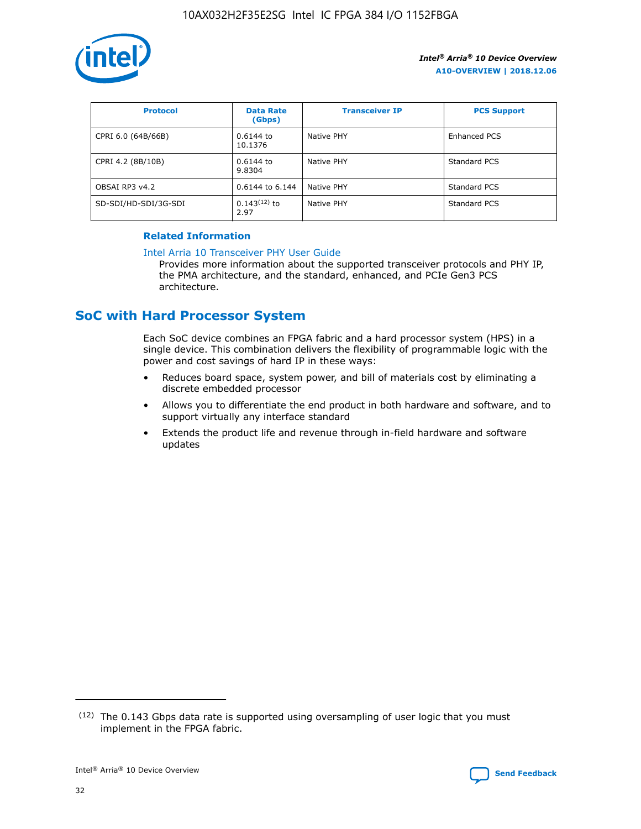

| <b>Protocol</b>      | <b>Data Rate</b><br>(Gbps) | <b>Transceiver IP</b> | <b>PCS Support</b> |
|----------------------|----------------------------|-----------------------|--------------------|
| CPRI 6.0 (64B/66B)   | 0.6144 to<br>10.1376       | Native PHY            | Enhanced PCS       |
| CPRI 4.2 (8B/10B)    | 0.6144 to<br>9.8304        | Native PHY            | Standard PCS       |
| OBSAI RP3 v4.2       | 0.6144 to 6.144            | Native PHY            | Standard PCS       |
| SD-SDI/HD-SDI/3G-SDI | $0.143(12)$ to<br>2.97     | Native PHY            | Standard PCS       |

## **Related Information**

#### [Intel Arria 10 Transceiver PHY User Guide](https://www.intel.com/content/www/us/en/programmable/documentation/nik1398707230472.html#nik1398707091164)

Provides more information about the supported transceiver protocols and PHY IP, the PMA architecture, and the standard, enhanced, and PCIe Gen3 PCS architecture.

## **SoC with Hard Processor System**

Each SoC device combines an FPGA fabric and a hard processor system (HPS) in a single device. This combination delivers the flexibility of programmable logic with the power and cost savings of hard IP in these ways:

- Reduces board space, system power, and bill of materials cost by eliminating a discrete embedded processor
- Allows you to differentiate the end product in both hardware and software, and to support virtually any interface standard
- Extends the product life and revenue through in-field hardware and software updates

 $(12)$  The 0.143 Gbps data rate is supported using oversampling of user logic that you must implement in the FPGA fabric.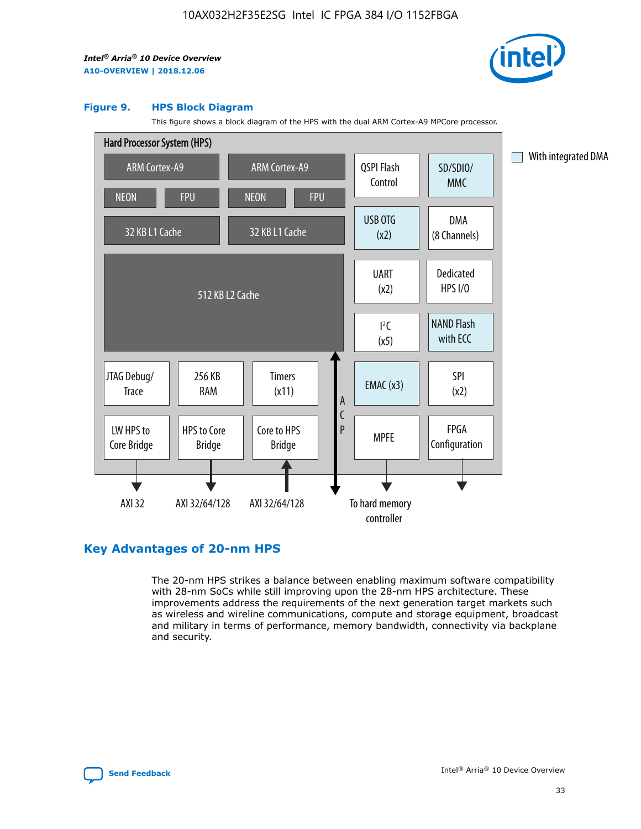

#### **Figure 9. HPS Block Diagram**

This figure shows a block diagram of the HPS with the dual ARM Cortex-A9 MPCore processor.



## **Key Advantages of 20-nm HPS**

The 20-nm HPS strikes a balance between enabling maximum software compatibility with 28-nm SoCs while still improving upon the 28-nm HPS architecture. These improvements address the requirements of the next generation target markets such as wireless and wireline communications, compute and storage equipment, broadcast and military in terms of performance, memory bandwidth, connectivity via backplane and security.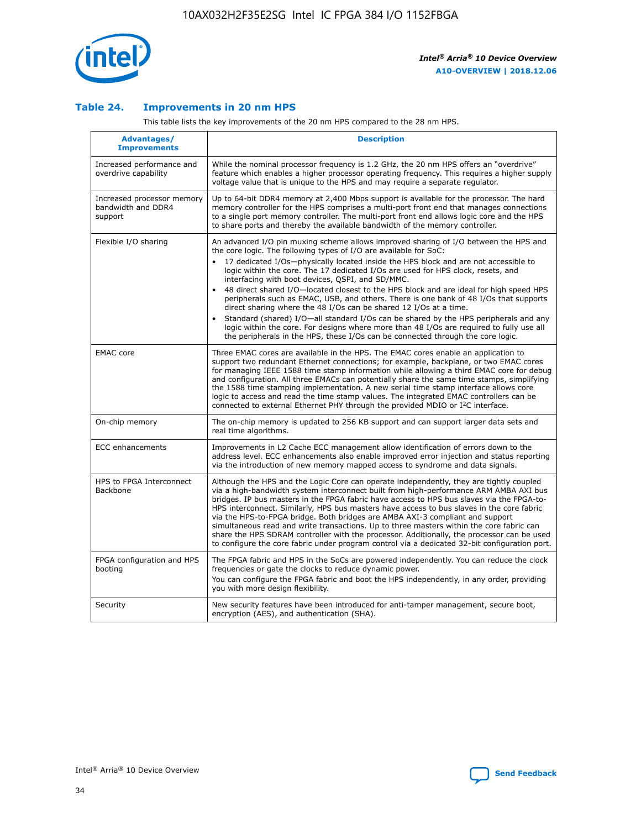

## **Table 24. Improvements in 20 nm HPS**

This table lists the key improvements of the 20 nm HPS compared to the 28 nm HPS.

| Advantages/<br><b>Improvements</b>                          | <b>Description</b>                                                                                                                                                                                                                                                                                                                                                                                                                                                                                                                                                                                                                                                                                                                                                                                                                                                                                                      |
|-------------------------------------------------------------|-------------------------------------------------------------------------------------------------------------------------------------------------------------------------------------------------------------------------------------------------------------------------------------------------------------------------------------------------------------------------------------------------------------------------------------------------------------------------------------------------------------------------------------------------------------------------------------------------------------------------------------------------------------------------------------------------------------------------------------------------------------------------------------------------------------------------------------------------------------------------------------------------------------------------|
| Increased performance and<br>overdrive capability           | While the nominal processor frequency is 1.2 GHz, the 20 nm HPS offers an "overdrive"<br>feature which enables a higher processor operating frequency. This requires a higher supply<br>voltage value that is unique to the HPS and may require a separate regulator.                                                                                                                                                                                                                                                                                                                                                                                                                                                                                                                                                                                                                                                   |
| Increased processor memory<br>bandwidth and DDR4<br>support | Up to 64-bit DDR4 memory at 2,400 Mbps support is available for the processor. The hard<br>memory controller for the HPS comprises a multi-port front end that manages connections<br>to a single port memory controller. The multi-port front end allows logic core and the HPS<br>to share ports and thereby the available bandwidth of the memory controller.                                                                                                                                                                                                                                                                                                                                                                                                                                                                                                                                                        |
| Flexible I/O sharing                                        | An advanced I/O pin muxing scheme allows improved sharing of I/O between the HPS and<br>the core logic. The following types of I/O are available for SoC:<br>17 dedicated I/Os-physically located inside the HPS block and are not accessible to<br>logic within the core. The 17 dedicated I/Os are used for HPS clock, resets, and<br>interfacing with boot devices, QSPI, and SD/MMC.<br>48 direct shared I/O-located closest to the HPS block and are ideal for high speed HPS<br>peripherals such as EMAC, USB, and others. There is one bank of 48 I/Os that supports<br>direct sharing where the 48 I/Os can be shared 12 I/Os at a time.<br>Standard (shared) I/O-all standard I/Os can be shared by the HPS peripherals and any<br>logic within the core. For designs where more than 48 I/Os are required to fully use all<br>the peripherals in the HPS, these I/Os can be connected through the core logic. |
| <b>EMAC</b> core                                            | Three EMAC cores are available in the HPS. The EMAC cores enable an application to<br>support two redundant Ethernet connections; for example, backplane, or two EMAC cores<br>for managing IEEE 1588 time stamp information while allowing a third EMAC core for debug<br>and configuration. All three EMACs can potentially share the same time stamps, simplifying<br>the 1588 time stamping implementation. A new serial time stamp interface allows core<br>logic to access and read the time stamp values. The integrated EMAC controllers can be<br>connected to external Ethernet PHY through the provided MDIO or I <sup>2</sup> C interface.                                                                                                                                                                                                                                                                  |
| On-chip memory                                              | The on-chip memory is updated to 256 KB support and can support larger data sets and<br>real time algorithms.                                                                                                                                                                                                                                                                                                                                                                                                                                                                                                                                                                                                                                                                                                                                                                                                           |
| <b>ECC</b> enhancements                                     | Improvements in L2 Cache ECC management allow identification of errors down to the<br>address level. ECC enhancements also enable improved error injection and status reporting<br>via the introduction of new memory mapped access to syndrome and data signals.                                                                                                                                                                                                                                                                                                                                                                                                                                                                                                                                                                                                                                                       |
| HPS to FPGA Interconnect<br><b>Backbone</b>                 | Although the HPS and the Logic Core can operate independently, they are tightly coupled<br>via a high-bandwidth system interconnect built from high-performance ARM AMBA AXI bus<br>bridges. IP bus masters in the FPGA fabric have access to HPS bus slaves via the FPGA-to-<br>HPS interconnect. Similarly, HPS bus masters have access to bus slaves in the core fabric<br>via the HPS-to-FPGA bridge. Both bridges are AMBA AXI-3 compliant and support<br>simultaneous read and write transactions. Up to three masters within the core fabric can<br>share the HPS SDRAM controller with the processor. Additionally, the processor can be used<br>to configure the core fabric under program control via a dedicated 32-bit configuration port.                                                                                                                                                                  |
| FPGA configuration and HPS<br>booting                       | The FPGA fabric and HPS in the SoCs are powered independently. You can reduce the clock<br>frequencies or gate the clocks to reduce dynamic power.<br>You can configure the FPGA fabric and boot the HPS independently, in any order, providing<br>you with more design flexibility.                                                                                                                                                                                                                                                                                                                                                                                                                                                                                                                                                                                                                                    |
| Security                                                    | New security features have been introduced for anti-tamper management, secure boot,<br>encryption (AES), and authentication (SHA).                                                                                                                                                                                                                                                                                                                                                                                                                                                                                                                                                                                                                                                                                                                                                                                      |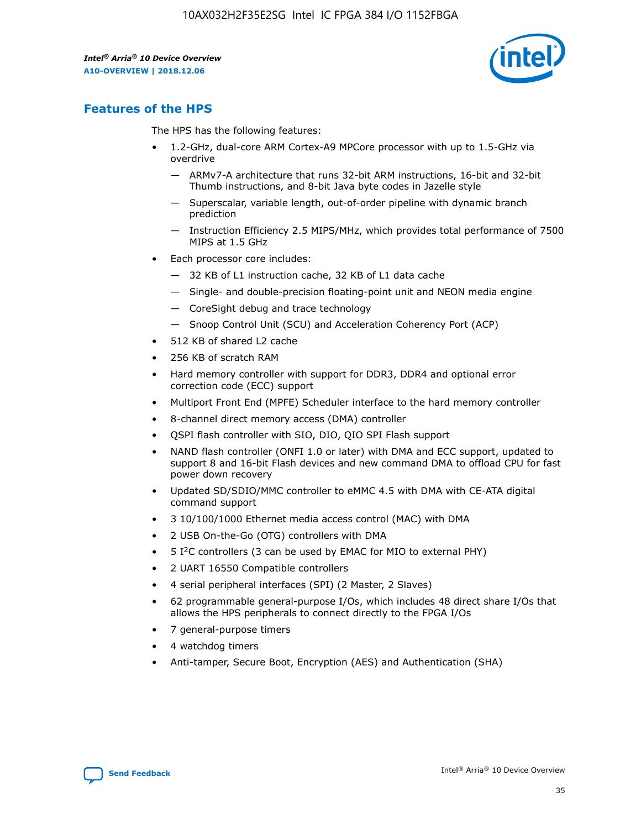

## **Features of the HPS**

The HPS has the following features:

- 1.2-GHz, dual-core ARM Cortex-A9 MPCore processor with up to 1.5-GHz via overdrive
	- ARMv7-A architecture that runs 32-bit ARM instructions, 16-bit and 32-bit Thumb instructions, and 8-bit Java byte codes in Jazelle style
	- Superscalar, variable length, out-of-order pipeline with dynamic branch prediction
	- Instruction Efficiency 2.5 MIPS/MHz, which provides total performance of 7500 MIPS at 1.5 GHz
- Each processor core includes:
	- 32 KB of L1 instruction cache, 32 KB of L1 data cache
	- Single- and double-precision floating-point unit and NEON media engine
	- CoreSight debug and trace technology
	- Snoop Control Unit (SCU) and Acceleration Coherency Port (ACP)
- 512 KB of shared L2 cache
- 256 KB of scratch RAM
- Hard memory controller with support for DDR3, DDR4 and optional error correction code (ECC) support
- Multiport Front End (MPFE) Scheduler interface to the hard memory controller
- 8-channel direct memory access (DMA) controller
- QSPI flash controller with SIO, DIO, QIO SPI Flash support
- NAND flash controller (ONFI 1.0 or later) with DMA and ECC support, updated to support 8 and 16-bit Flash devices and new command DMA to offload CPU for fast power down recovery
- Updated SD/SDIO/MMC controller to eMMC 4.5 with DMA with CE-ATA digital command support
- 3 10/100/1000 Ethernet media access control (MAC) with DMA
- 2 USB On-the-Go (OTG) controllers with DMA
- $\bullet$  5 I<sup>2</sup>C controllers (3 can be used by EMAC for MIO to external PHY)
- 2 UART 16550 Compatible controllers
- 4 serial peripheral interfaces (SPI) (2 Master, 2 Slaves)
- 62 programmable general-purpose I/Os, which includes 48 direct share I/Os that allows the HPS peripherals to connect directly to the FPGA I/Os
- 7 general-purpose timers
- 4 watchdog timers
- Anti-tamper, Secure Boot, Encryption (AES) and Authentication (SHA)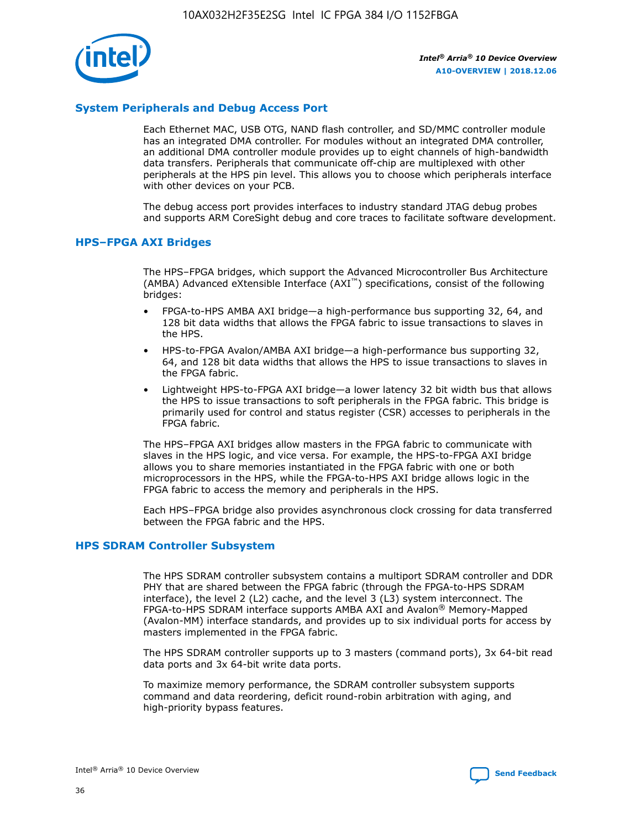

## **System Peripherals and Debug Access Port**

Each Ethernet MAC, USB OTG, NAND flash controller, and SD/MMC controller module has an integrated DMA controller. For modules without an integrated DMA controller, an additional DMA controller module provides up to eight channels of high-bandwidth data transfers. Peripherals that communicate off-chip are multiplexed with other peripherals at the HPS pin level. This allows you to choose which peripherals interface with other devices on your PCB.

The debug access port provides interfaces to industry standard JTAG debug probes and supports ARM CoreSight debug and core traces to facilitate software development.

## **HPS–FPGA AXI Bridges**

The HPS–FPGA bridges, which support the Advanced Microcontroller Bus Architecture (AMBA) Advanced eXtensible Interface (AXI™) specifications, consist of the following bridges:

- FPGA-to-HPS AMBA AXI bridge—a high-performance bus supporting 32, 64, and 128 bit data widths that allows the FPGA fabric to issue transactions to slaves in the HPS.
- HPS-to-FPGA Avalon/AMBA AXI bridge—a high-performance bus supporting 32, 64, and 128 bit data widths that allows the HPS to issue transactions to slaves in the FPGA fabric.
- Lightweight HPS-to-FPGA AXI bridge—a lower latency 32 bit width bus that allows the HPS to issue transactions to soft peripherals in the FPGA fabric. This bridge is primarily used for control and status register (CSR) accesses to peripherals in the FPGA fabric.

The HPS–FPGA AXI bridges allow masters in the FPGA fabric to communicate with slaves in the HPS logic, and vice versa. For example, the HPS-to-FPGA AXI bridge allows you to share memories instantiated in the FPGA fabric with one or both microprocessors in the HPS, while the FPGA-to-HPS AXI bridge allows logic in the FPGA fabric to access the memory and peripherals in the HPS.

Each HPS–FPGA bridge also provides asynchronous clock crossing for data transferred between the FPGA fabric and the HPS.

## **HPS SDRAM Controller Subsystem**

The HPS SDRAM controller subsystem contains a multiport SDRAM controller and DDR PHY that are shared between the FPGA fabric (through the FPGA-to-HPS SDRAM interface), the level 2 (L2) cache, and the level 3 (L3) system interconnect. The FPGA-to-HPS SDRAM interface supports AMBA AXI and Avalon® Memory-Mapped (Avalon-MM) interface standards, and provides up to six individual ports for access by masters implemented in the FPGA fabric.

The HPS SDRAM controller supports up to 3 masters (command ports), 3x 64-bit read data ports and 3x 64-bit write data ports.

To maximize memory performance, the SDRAM controller subsystem supports command and data reordering, deficit round-robin arbitration with aging, and high-priority bypass features.

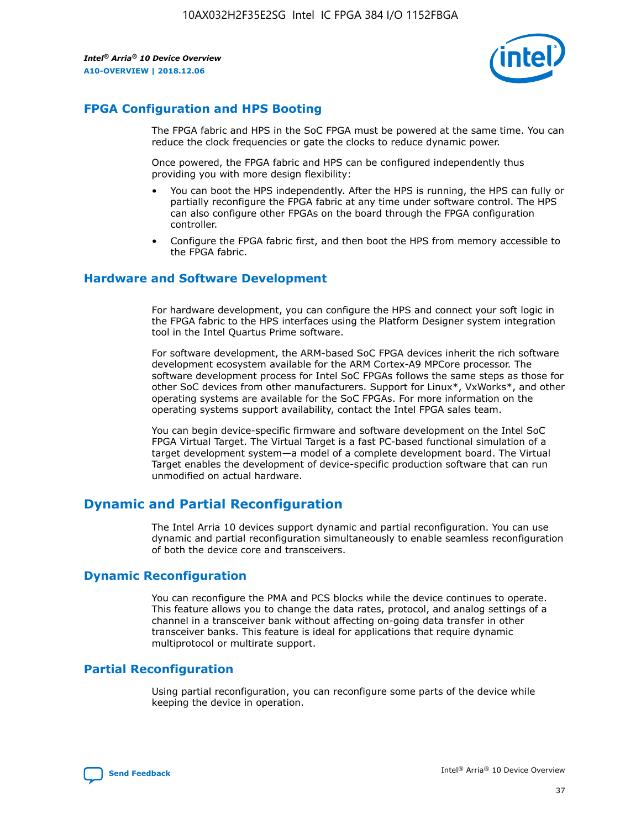

## **FPGA Configuration and HPS Booting**

The FPGA fabric and HPS in the SoC FPGA must be powered at the same time. You can reduce the clock frequencies or gate the clocks to reduce dynamic power.

Once powered, the FPGA fabric and HPS can be configured independently thus providing you with more design flexibility:

- You can boot the HPS independently. After the HPS is running, the HPS can fully or partially reconfigure the FPGA fabric at any time under software control. The HPS can also configure other FPGAs on the board through the FPGA configuration controller.
- Configure the FPGA fabric first, and then boot the HPS from memory accessible to the FPGA fabric.

## **Hardware and Software Development**

For hardware development, you can configure the HPS and connect your soft logic in the FPGA fabric to the HPS interfaces using the Platform Designer system integration tool in the Intel Quartus Prime software.

For software development, the ARM-based SoC FPGA devices inherit the rich software development ecosystem available for the ARM Cortex-A9 MPCore processor. The software development process for Intel SoC FPGAs follows the same steps as those for other SoC devices from other manufacturers. Support for Linux\*, VxWorks\*, and other operating systems are available for the SoC FPGAs. For more information on the operating systems support availability, contact the Intel FPGA sales team.

You can begin device-specific firmware and software development on the Intel SoC FPGA Virtual Target. The Virtual Target is a fast PC-based functional simulation of a target development system—a model of a complete development board. The Virtual Target enables the development of device-specific production software that can run unmodified on actual hardware.

## **Dynamic and Partial Reconfiguration**

The Intel Arria 10 devices support dynamic and partial reconfiguration. You can use dynamic and partial reconfiguration simultaneously to enable seamless reconfiguration of both the device core and transceivers.

## **Dynamic Reconfiguration**

You can reconfigure the PMA and PCS blocks while the device continues to operate. This feature allows you to change the data rates, protocol, and analog settings of a channel in a transceiver bank without affecting on-going data transfer in other transceiver banks. This feature is ideal for applications that require dynamic multiprotocol or multirate support.

## **Partial Reconfiguration**

Using partial reconfiguration, you can reconfigure some parts of the device while keeping the device in operation.

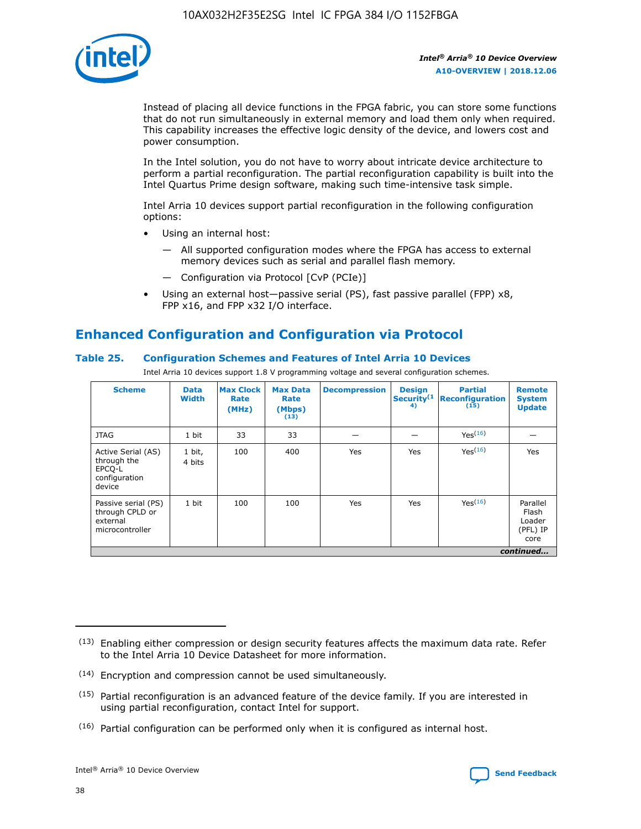

Instead of placing all device functions in the FPGA fabric, you can store some functions that do not run simultaneously in external memory and load them only when required. This capability increases the effective logic density of the device, and lowers cost and power consumption.

In the Intel solution, you do not have to worry about intricate device architecture to perform a partial reconfiguration. The partial reconfiguration capability is built into the Intel Quartus Prime design software, making such time-intensive task simple.

Intel Arria 10 devices support partial reconfiguration in the following configuration options:

- Using an internal host:
	- All supported configuration modes where the FPGA has access to external memory devices such as serial and parallel flash memory.
	- Configuration via Protocol [CvP (PCIe)]
- Using an external host—passive serial (PS), fast passive parallel (FPP) x8, FPP x16, and FPP x32 I/O interface.

# **Enhanced Configuration and Configuration via Protocol**

## **Table 25. Configuration Schemes and Features of Intel Arria 10 Devices**

Intel Arria 10 devices support 1.8 V programming voltage and several configuration schemes.

| <b>Scheme</b>                                                          | <b>Data</b><br><b>Width</b> | <b>Max Clock</b><br>Rate<br>(MHz) | <b>Max Data</b><br>Rate<br>(Mbps)<br>(13) | <b>Decompression</b> | <b>Design</b><br>Security <sup>(1</sup><br>4) | <b>Partial</b><br>Reconfiguration<br>(15) | <b>Remote</b><br><b>System</b><br><b>Update</b> |
|------------------------------------------------------------------------|-----------------------------|-----------------------------------|-------------------------------------------|----------------------|-----------------------------------------------|-------------------------------------------|-------------------------------------------------|
| <b>JTAG</b>                                                            | 1 bit                       | 33                                | 33                                        |                      |                                               | Yes <sup>(16)</sup>                       |                                                 |
| Active Serial (AS)<br>through the<br>EPCO-L<br>configuration<br>device | 1 bit,<br>4 bits            | 100                               | 400                                       | Yes                  | Yes                                           | Yes(16)                                   | Yes                                             |
| Passive serial (PS)<br>through CPLD or<br>external<br>microcontroller  | 1 bit                       | 100                               | 100                                       | Yes                  | Yes                                           | Yes(16)                                   | Parallel<br>Flash<br>Loader<br>(PFL) IP<br>core |
|                                                                        |                             |                                   |                                           |                      |                                               |                                           | continued                                       |

<sup>(13)</sup> Enabling either compression or design security features affects the maximum data rate. Refer to the Intel Arria 10 Device Datasheet for more information.

<sup>(14)</sup> Encryption and compression cannot be used simultaneously.

 $<sup>(15)</sup>$  Partial reconfiguration is an advanced feature of the device family. If you are interested in</sup> using partial reconfiguration, contact Intel for support.

 $(16)$  Partial configuration can be performed only when it is configured as internal host.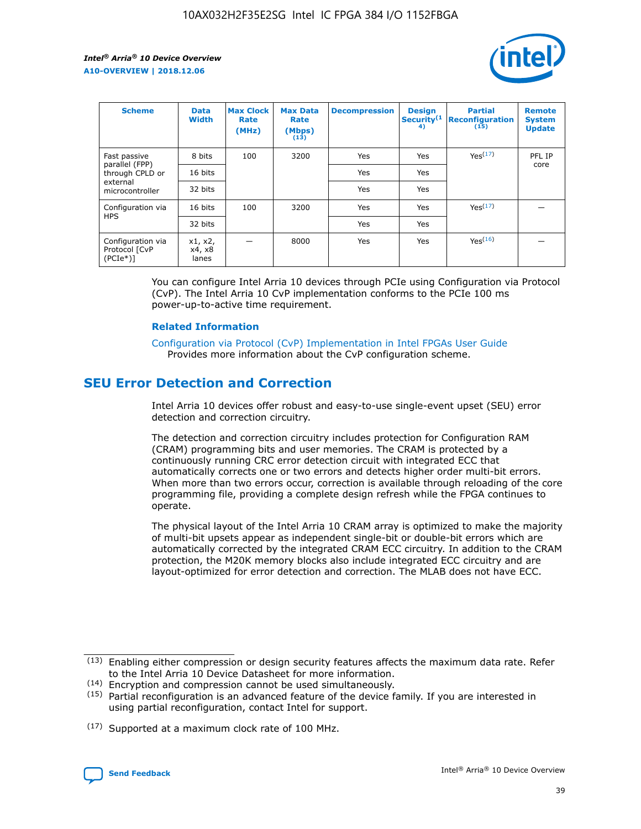

| <b>Scheme</b>                                    | <b>Data</b><br><b>Width</b> | <b>Max Clock</b><br>Rate<br>(MHz) | <b>Max Data</b><br>Rate<br>(Mbps)<br>(13) | <b>Decompression</b> | <b>Design</b><br>Security <sup>(1</sup><br>4) | <b>Partial</b><br><b>Reconfiguration</b><br>(15) | <b>Remote</b><br><b>System</b><br><b>Update</b> |
|--------------------------------------------------|-----------------------------|-----------------------------------|-------------------------------------------|----------------------|-----------------------------------------------|--------------------------------------------------|-------------------------------------------------|
| Fast passive                                     | 8 bits                      | 100                               | 3200                                      | Yes                  | Yes                                           | Yes(17)                                          | PFL IP                                          |
| parallel (FPP)<br>through CPLD or                | 16 bits                     |                                   |                                           | Yes                  | Yes                                           |                                                  | core                                            |
| external<br>microcontroller                      | 32 bits                     |                                   |                                           | Yes                  | Yes                                           |                                                  |                                                 |
| Configuration via                                | 16 bits                     | 100                               | 3200                                      | Yes                  | Yes                                           | Yes <sup>(17)</sup>                              |                                                 |
| <b>HPS</b>                                       | 32 bits                     |                                   |                                           | Yes                  | Yes                                           |                                                  |                                                 |
| Configuration via<br>Protocol [CvP<br>$(PCIe^*)$ | x1, x2,<br>x4, x8<br>lanes  |                                   | 8000                                      | Yes                  | Yes                                           | Yes(16)                                          |                                                 |

You can configure Intel Arria 10 devices through PCIe using Configuration via Protocol (CvP). The Intel Arria 10 CvP implementation conforms to the PCIe 100 ms power-up-to-active time requirement.

#### **Related Information**

[Configuration via Protocol \(CvP\) Implementation in Intel FPGAs User Guide](https://www.intel.com/content/www/us/en/programmable/documentation/dsu1441819344145.html#dsu1442269728522) Provides more information about the CvP configuration scheme.

## **SEU Error Detection and Correction**

Intel Arria 10 devices offer robust and easy-to-use single-event upset (SEU) error detection and correction circuitry.

The detection and correction circuitry includes protection for Configuration RAM (CRAM) programming bits and user memories. The CRAM is protected by a continuously running CRC error detection circuit with integrated ECC that automatically corrects one or two errors and detects higher order multi-bit errors. When more than two errors occur, correction is available through reloading of the core programming file, providing a complete design refresh while the FPGA continues to operate.

The physical layout of the Intel Arria 10 CRAM array is optimized to make the majority of multi-bit upsets appear as independent single-bit or double-bit errors which are automatically corrected by the integrated CRAM ECC circuitry. In addition to the CRAM protection, the M20K memory blocks also include integrated ECC circuitry and are layout-optimized for error detection and correction. The MLAB does not have ECC.

(14) Encryption and compression cannot be used simultaneously.

<sup>(17)</sup> Supported at a maximum clock rate of 100 MHz.



 $(13)$  Enabling either compression or design security features affects the maximum data rate. Refer to the Intel Arria 10 Device Datasheet for more information.

 $(15)$  Partial reconfiguration is an advanced feature of the device family. If you are interested in using partial reconfiguration, contact Intel for support.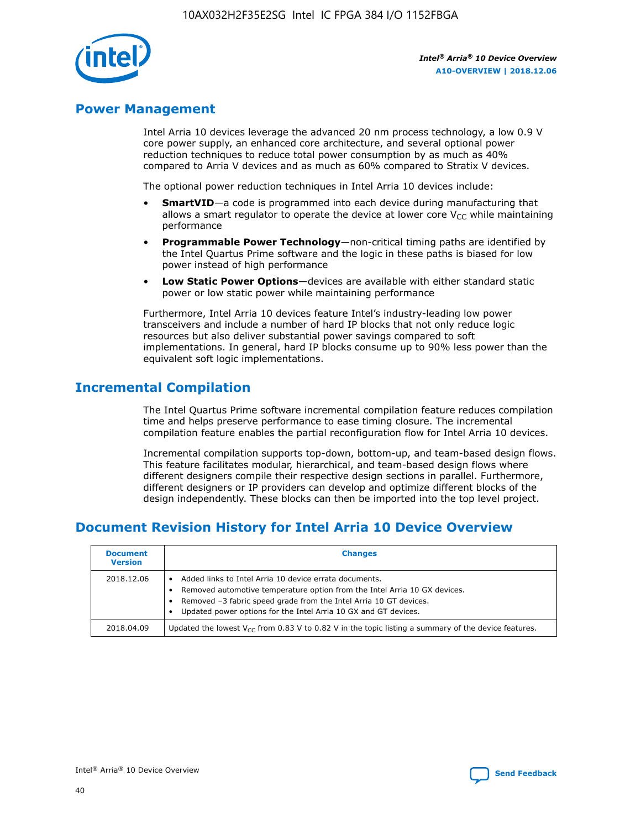

## **Power Management**

Intel Arria 10 devices leverage the advanced 20 nm process technology, a low 0.9 V core power supply, an enhanced core architecture, and several optional power reduction techniques to reduce total power consumption by as much as 40% compared to Arria V devices and as much as 60% compared to Stratix V devices.

The optional power reduction techniques in Intel Arria 10 devices include:

- **SmartVID**—a code is programmed into each device during manufacturing that allows a smart regulator to operate the device at lower core  $V_{CC}$  while maintaining performance
- **Programmable Power Technology**—non-critical timing paths are identified by the Intel Quartus Prime software and the logic in these paths is biased for low power instead of high performance
- **Low Static Power Options**—devices are available with either standard static power or low static power while maintaining performance

Furthermore, Intel Arria 10 devices feature Intel's industry-leading low power transceivers and include a number of hard IP blocks that not only reduce logic resources but also deliver substantial power savings compared to soft implementations. In general, hard IP blocks consume up to 90% less power than the equivalent soft logic implementations.

## **Incremental Compilation**

The Intel Quartus Prime software incremental compilation feature reduces compilation time and helps preserve performance to ease timing closure. The incremental compilation feature enables the partial reconfiguration flow for Intel Arria 10 devices.

Incremental compilation supports top-down, bottom-up, and team-based design flows. This feature facilitates modular, hierarchical, and team-based design flows where different designers compile their respective design sections in parallel. Furthermore, different designers or IP providers can develop and optimize different blocks of the design independently. These blocks can then be imported into the top level project.

# **Document Revision History for Intel Arria 10 Device Overview**

| <b>Document</b><br><b>Version</b> | <b>Changes</b>                                                                                                                                                                                                                                                              |
|-----------------------------------|-----------------------------------------------------------------------------------------------------------------------------------------------------------------------------------------------------------------------------------------------------------------------------|
| 2018.12.06                        | Added links to Intel Arria 10 device errata documents.<br>Removed automotive temperature option from the Intel Arria 10 GX devices.<br>Removed -3 fabric speed grade from the Intel Arria 10 GT devices.<br>Updated power options for the Intel Arria 10 GX and GT devices. |
| 2018.04.09                        | Updated the lowest $V_{CC}$ from 0.83 V to 0.82 V in the topic listing a summary of the device features.                                                                                                                                                                    |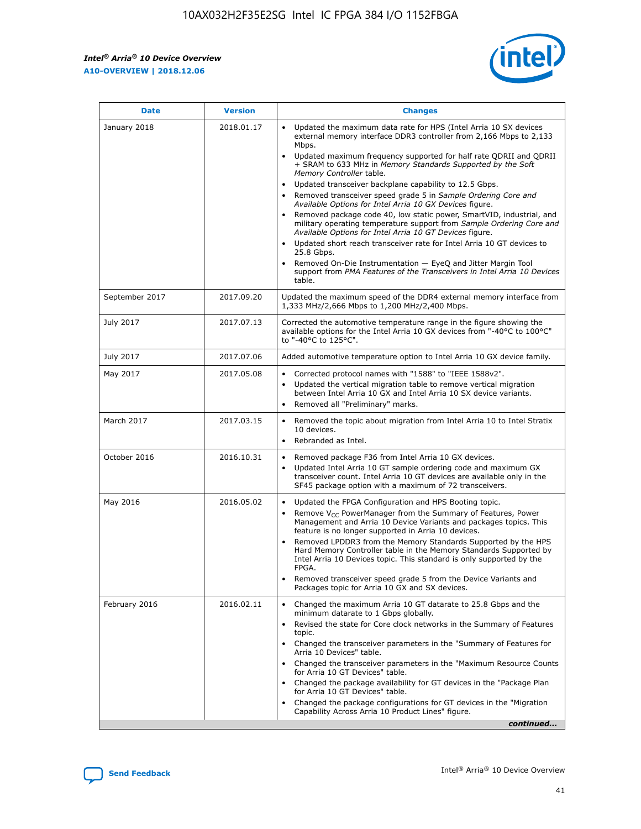*Intel® Arria® 10 Device Overview* **A10-OVERVIEW | 2018.12.06**



| <b>Date</b>    | <b>Version</b> | <b>Changes</b>                                                                                                                                                                                                                                                                                                                                                                                                                                                                                                                                                                                                                                                                                                                                                                                                                                                                                                                                                                         |
|----------------|----------------|----------------------------------------------------------------------------------------------------------------------------------------------------------------------------------------------------------------------------------------------------------------------------------------------------------------------------------------------------------------------------------------------------------------------------------------------------------------------------------------------------------------------------------------------------------------------------------------------------------------------------------------------------------------------------------------------------------------------------------------------------------------------------------------------------------------------------------------------------------------------------------------------------------------------------------------------------------------------------------------|
| January 2018   | 2018.01.17     | Updated the maximum data rate for HPS (Intel Arria 10 SX devices<br>external memory interface DDR3 controller from 2,166 Mbps to 2,133<br>Mbps.<br>Updated maximum frequency supported for half rate QDRII and QDRII<br>+ SRAM to 633 MHz in Memory Standards Supported by the Soft<br>Memory Controller table.<br>Updated transceiver backplane capability to 12.5 Gbps.<br>$\bullet$<br>Removed transceiver speed grade 5 in Sample Ordering Core and<br>$\bullet$<br>Available Options for Intel Arria 10 GX Devices figure.<br>Removed package code 40, low static power, SmartVID, industrial, and<br>military operating temperature support from Sample Ordering Core and<br>Available Options for Intel Arria 10 GT Devices figure.<br>Updated short reach transceiver rate for Intel Arria 10 GT devices to<br>25.8 Gbps.<br>Removed On-Die Instrumentation - EyeQ and Jitter Margin Tool<br>support from PMA Features of the Transceivers in Intel Arria 10 Devices<br>table. |
| September 2017 | 2017.09.20     | Updated the maximum speed of the DDR4 external memory interface from<br>1,333 MHz/2,666 Mbps to 1,200 MHz/2,400 Mbps.                                                                                                                                                                                                                                                                                                                                                                                                                                                                                                                                                                                                                                                                                                                                                                                                                                                                  |
| July 2017      | 2017.07.13     | Corrected the automotive temperature range in the figure showing the<br>available options for the Intel Arria 10 GX devices from "-40°C to 100°C"<br>to "-40°C to 125°C".                                                                                                                                                                                                                                                                                                                                                                                                                                                                                                                                                                                                                                                                                                                                                                                                              |
| July 2017      | 2017.07.06     | Added automotive temperature option to Intel Arria 10 GX device family.                                                                                                                                                                                                                                                                                                                                                                                                                                                                                                                                                                                                                                                                                                                                                                                                                                                                                                                |
| May 2017       | 2017.05.08     | Corrected protocol names with "1588" to "IEEE 1588v2".<br>$\bullet$<br>Updated the vertical migration table to remove vertical migration<br>$\bullet$<br>between Intel Arria 10 GX and Intel Arria 10 SX device variants.<br>Removed all "Preliminary" marks.<br>$\bullet$                                                                                                                                                                                                                                                                                                                                                                                                                                                                                                                                                                                                                                                                                                             |
| March 2017     | 2017.03.15     | Removed the topic about migration from Intel Arria 10 to Intel Stratix<br>$\bullet$<br>10 devices.<br>Rebranded as Intel.<br>$\bullet$                                                                                                                                                                                                                                                                                                                                                                                                                                                                                                                                                                                                                                                                                                                                                                                                                                                 |
| October 2016   | 2016.10.31     | Removed package F36 from Intel Arria 10 GX devices.<br>Updated Intel Arria 10 GT sample ordering code and maximum GX<br>$\bullet$<br>transceiver count. Intel Arria 10 GT devices are available only in the<br>SF45 package option with a maximum of 72 transceivers.                                                                                                                                                                                                                                                                                                                                                                                                                                                                                                                                                                                                                                                                                                                  |
| May 2016       | 2016.05.02     | Updated the FPGA Configuration and HPS Booting topic.<br>$\bullet$<br>Remove V <sub>CC</sub> PowerManager from the Summary of Features, Power<br>Management and Arria 10 Device Variants and packages topics. This<br>feature is no longer supported in Arria 10 devices.<br>Removed LPDDR3 from the Memory Standards Supported by the HPS<br>Hard Memory Controller table in the Memory Standards Supported by<br>Intel Arria 10 Devices topic. This standard is only supported by the<br>FPGA.<br>Removed transceiver speed grade 5 from the Device Variants and<br>Packages topic for Arria 10 GX and SX devices.                                                                                                                                                                                                                                                                                                                                                                   |
| February 2016  | 2016.02.11     | Changed the maximum Arria 10 GT datarate to 25.8 Gbps and the<br>minimum datarate to 1 Gbps globally.<br>Revised the state for Core clock networks in the Summary of Features<br>$\bullet$<br>topic.<br>Changed the transceiver parameters in the "Summary of Features for<br>$\bullet$<br>Arria 10 Devices" table.<br>• Changed the transceiver parameters in the "Maximum Resource Counts<br>for Arria 10 GT Devices" table.<br>Changed the package availability for GT devices in the "Package Plan<br>for Arria 10 GT Devices" table.<br>Changed the package configurations for GT devices in the "Migration"<br>Capability Across Arria 10 Product Lines" figure.<br>continued                                                                                                                                                                                                                                                                                                    |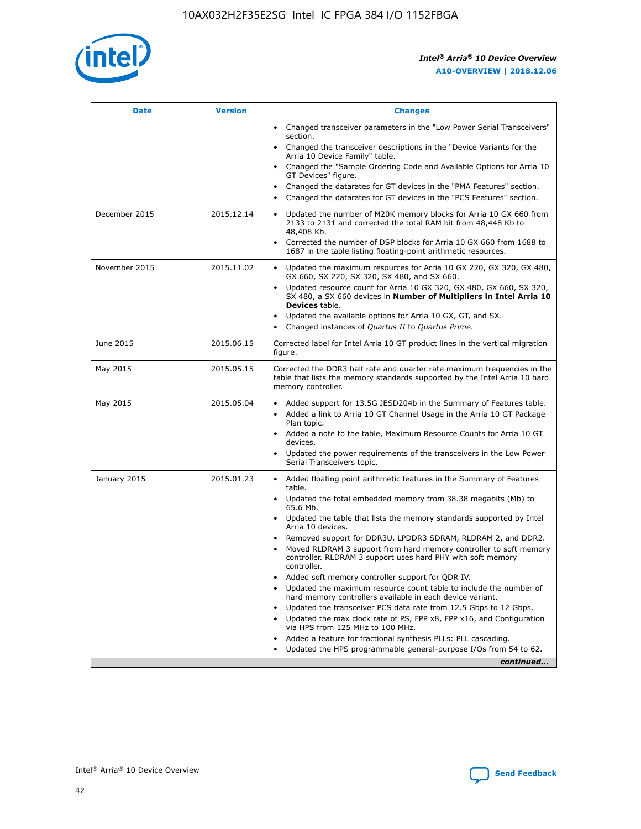

| <b>Date</b>   | <b>Version</b> | <b>Changes</b>                                                                                                                                                               |
|---------------|----------------|------------------------------------------------------------------------------------------------------------------------------------------------------------------------------|
|               |                | • Changed transceiver parameters in the "Low Power Serial Transceivers"<br>section.                                                                                          |
|               |                | • Changed the transceiver descriptions in the "Device Variants for the<br>Arria 10 Device Family" table.                                                                     |
|               |                | Changed the "Sample Ordering Code and Available Options for Arria 10<br>$\bullet$<br>GT Devices" figure.                                                                     |
|               |                | Changed the datarates for GT devices in the "PMA Features" section.                                                                                                          |
|               |                | Changed the datarates for GT devices in the "PCS Features" section.<br>$\bullet$                                                                                             |
| December 2015 | 2015.12.14     | Updated the number of M20K memory blocks for Arria 10 GX 660 from<br>2133 to 2131 and corrected the total RAM bit from 48,448 Kb to<br>48,408 Kb.                            |
|               |                | Corrected the number of DSP blocks for Arria 10 GX 660 from 1688 to<br>1687 in the table listing floating-point arithmetic resources.                                        |
| November 2015 | 2015.11.02     | Updated the maximum resources for Arria 10 GX 220, GX 320, GX 480,<br>$\bullet$<br>GX 660, SX 220, SX 320, SX 480, and SX 660.                                               |
|               |                | • Updated resource count for Arria 10 GX 320, GX 480, GX 660, SX 320,<br>SX 480, a SX 660 devices in Number of Multipliers in Intel Arria 10<br><b>Devices</b> table.        |
|               |                | Updated the available options for Arria 10 GX, GT, and SX.                                                                                                                   |
|               |                | Changed instances of Quartus II to Quartus Prime.<br>$\bullet$                                                                                                               |
| June 2015     | 2015.06.15     | Corrected label for Intel Arria 10 GT product lines in the vertical migration<br>figure.                                                                                     |
| May 2015      | 2015.05.15     | Corrected the DDR3 half rate and quarter rate maximum frequencies in the<br>table that lists the memory standards supported by the Intel Arria 10 hard<br>memory controller. |
| May 2015      | 2015.05.04     | • Added support for 13.5G JESD204b in the Summary of Features table.<br>• Added a link to Arria 10 GT Channel Usage in the Arria 10 GT Package<br>Plan topic.                |
|               |                | • Added a note to the table, Maximum Resource Counts for Arria 10 GT<br>devices.                                                                                             |
|               |                | • Updated the power requirements of the transceivers in the Low Power<br>Serial Transceivers topic.                                                                          |
| January 2015  | 2015.01.23     | • Added floating point arithmetic features in the Summary of Features<br>table.                                                                                              |
|               |                | • Updated the total embedded memory from 38.38 megabits (Mb) to<br>65.6 Mb.                                                                                                  |
|               |                | • Updated the table that lists the memory standards supported by Intel<br>Arria 10 devices.                                                                                  |
|               |                | Removed support for DDR3U, LPDDR3 SDRAM, RLDRAM 2, and DDR2.                                                                                                                 |
|               |                | Moved RLDRAM 3 support from hard memory controller to soft memory<br>controller. RLDRAM 3 support uses hard PHY with soft memory<br>controller.                              |
|               |                | Added soft memory controller support for QDR IV.<br>٠                                                                                                                        |
|               |                | Updated the maximum resource count table to include the number of<br>hard memory controllers available in each device variant.                                               |
|               |                | Updated the transceiver PCS data rate from 12.5 Gbps to 12 Gbps.<br>$\bullet$                                                                                                |
|               |                | Updated the max clock rate of PS, FPP x8, FPP x16, and Configuration<br>via HPS from 125 MHz to 100 MHz.                                                                     |
|               |                | Added a feature for fractional synthesis PLLs: PLL cascading.                                                                                                                |
|               |                | Updated the HPS programmable general-purpose I/Os from 54 to 62.<br>$\bullet$<br>continued                                                                                   |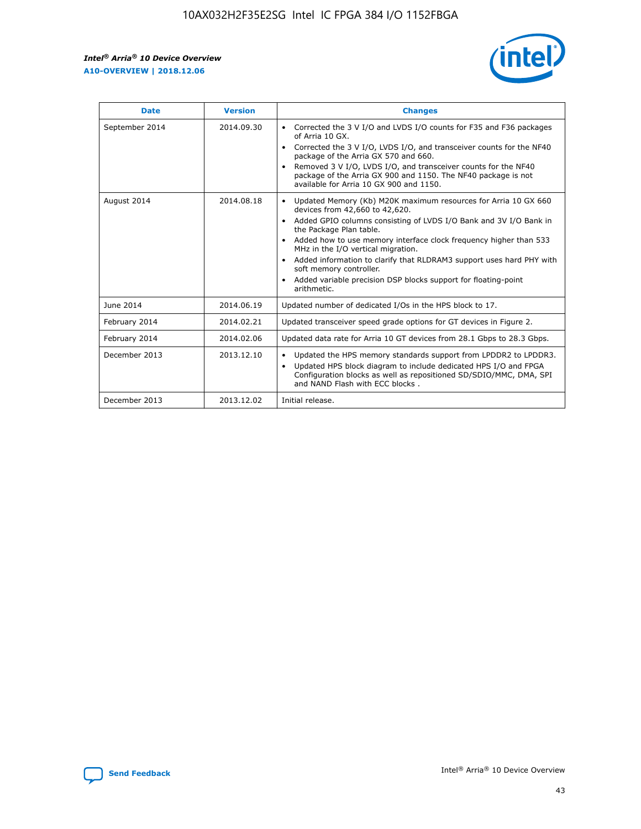r



| <b>Date</b>    | <b>Version</b> | <b>Changes</b>                                                                                                                                                                                                                                                                                                                                                                                                                                                                                                                         |
|----------------|----------------|----------------------------------------------------------------------------------------------------------------------------------------------------------------------------------------------------------------------------------------------------------------------------------------------------------------------------------------------------------------------------------------------------------------------------------------------------------------------------------------------------------------------------------------|
| September 2014 | 2014.09.30     | Corrected the 3 V I/O and LVDS I/O counts for F35 and F36 packages<br>of Arria 10 GX.<br>Corrected the 3 V I/O, LVDS I/O, and transceiver counts for the NF40<br>$\bullet$<br>package of the Arria GX 570 and 660.<br>Removed 3 V I/O, LVDS I/O, and transceiver counts for the NF40<br>package of the Arria GX 900 and 1150. The NF40 package is not<br>available for Arria 10 GX 900 and 1150.                                                                                                                                       |
| August 2014    | 2014.08.18     | Updated Memory (Kb) M20K maximum resources for Arria 10 GX 660<br>devices from 42,660 to 42,620.<br>Added GPIO columns consisting of LVDS I/O Bank and 3V I/O Bank in<br>$\bullet$<br>the Package Plan table.<br>Added how to use memory interface clock frequency higher than 533<br>$\bullet$<br>MHz in the I/O vertical migration.<br>Added information to clarify that RLDRAM3 support uses hard PHY with<br>$\bullet$<br>soft memory controller.<br>Added variable precision DSP blocks support for floating-point<br>arithmetic. |
| June 2014      | 2014.06.19     | Updated number of dedicated I/Os in the HPS block to 17.                                                                                                                                                                                                                                                                                                                                                                                                                                                                               |
| February 2014  | 2014.02.21     | Updated transceiver speed grade options for GT devices in Figure 2.                                                                                                                                                                                                                                                                                                                                                                                                                                                                    |
| February 2014  | 2014.02.06     | Updated data rate for Arria 10 GT devices from 28.1 Gbps to 28.3 Gbps.                                                                                                                                                                                                                                                                                                                                                                                                                                                                 |
| December 2013  | 2013.12.10     | Updated the HPS memory standards support from LPDDR2 to LPDDR3.<br>Updated HPS block diagram to include dedicated HPS I/O and FPGA<br>$\bullet$<br>Configuration blocks as well as repositioned SD/SDIO/MMC, DMA, SPI<br>and NAND Flash with ECC blocks.                                                                                                                                                                                                                                                                               |
| December 2013  | 2013.12.02     | Initial release.                                                                                                                                                                                                                                                                                                                                                                                                                                                                                                                       |